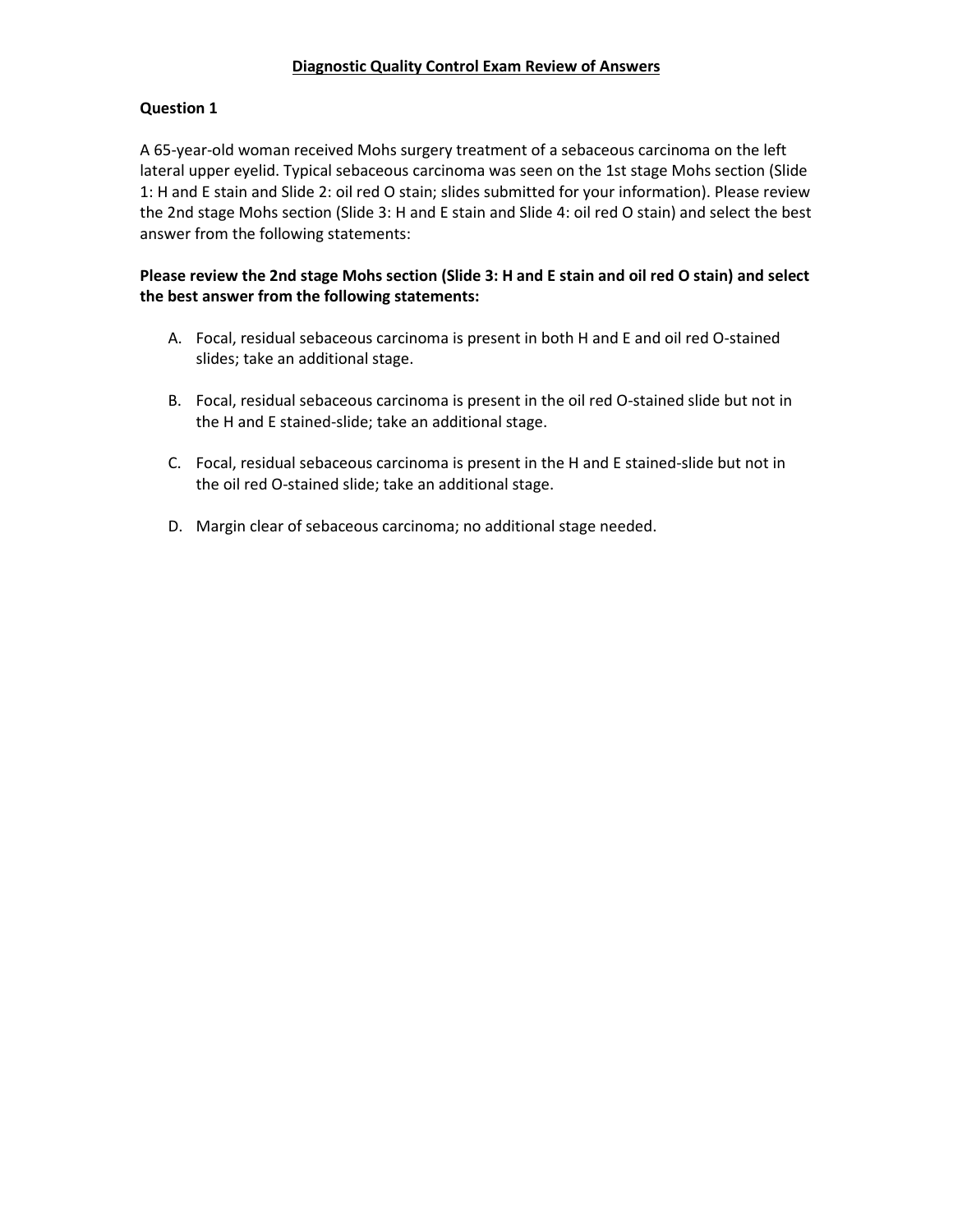### **Diagnostic Quality Control Exam Review of Answers**

## **Question 1**

A 65-year-old woman received Mohs surgery treatment of a sebaceous carcinoma on the left lateral upper eyelid. Typical sebaceous carcinoma was seen on the 1st stage Mohs section (Slide 1: H and E stain and Slide 2: oil red O stain; slides submitted for your information). Please review the 2nd stage Mohs section (Slide 3: H and E stain and Slide 4: oil red O stain) and select the best answer from the following statements:

## **Please review the 2nd stage Mohs section (Slide 3: H and E stain and oil red O stain) and select the best answer from the following statements:**

- A. Focal, residual sebaceous carcinoma is present in both H and E and oil red O-stained slides; take an additional stage.
- B. Focal, residual sebaceous carcinoma is present in the oil red O-stained slide but not in the H and E stained-slide; take an additional stage.
- C. Focal, residual sebaceous carcinoma is present in the H and E stained-slide but not in the oil red O-stained slide; take an additional stage.
- D. Margin clear of sebaceous carcinoma; no additional stage needed.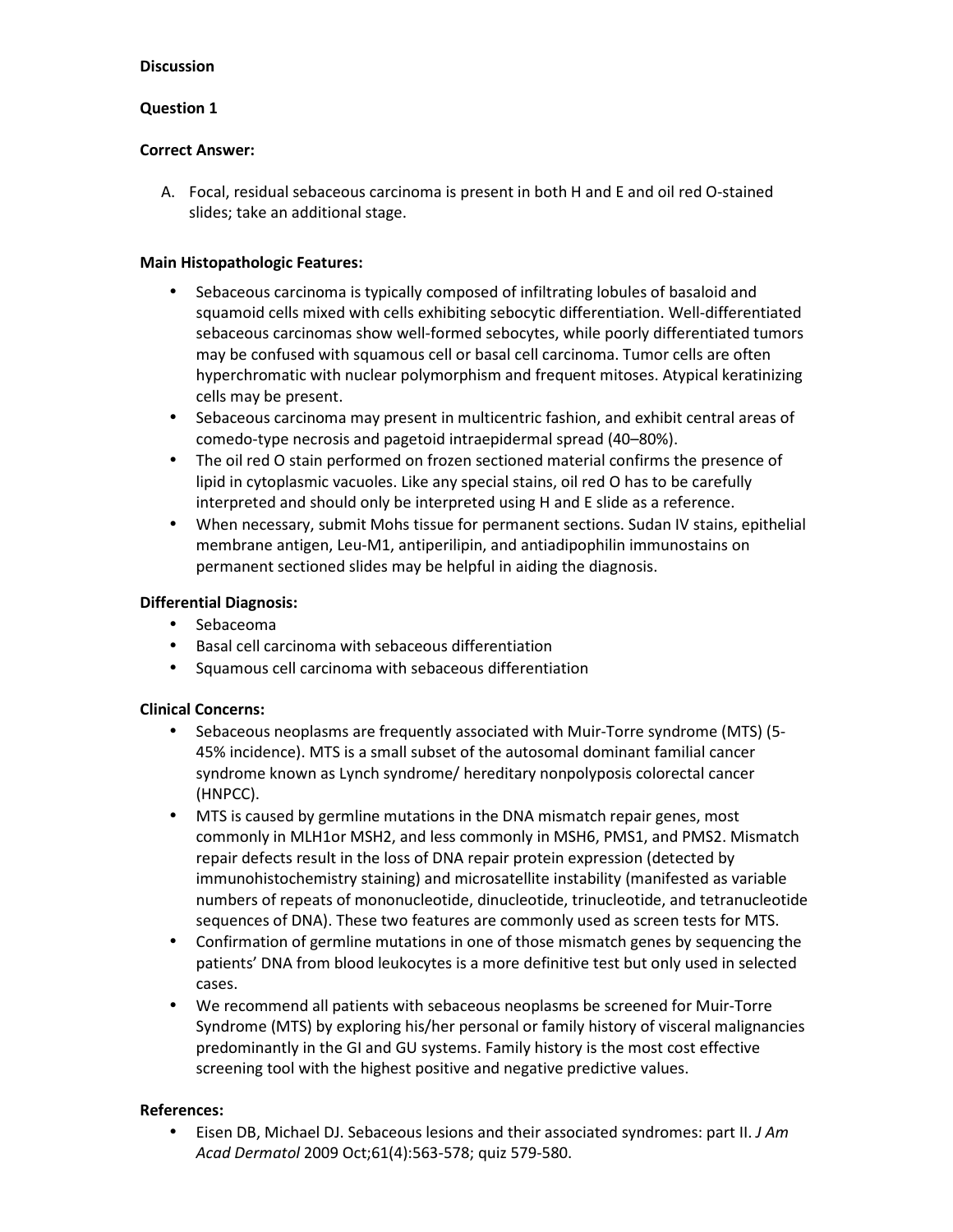### **Question 1**

### **Correct Answer:**

 A. Focal, residual sebaceous carcinoma is present in both H and E and oil red O-stained slides; take an additional stage.

## **Main Histopathologic Features:**

- Sebaceous carcinoma is typically composed of infiltrating lobules of basaloid and squamoid cells mixed with cells exhibiting sebocytic differentiation. Well-differentiated sebaceous carcinomas show well-formed sebocytes, while poorly differentiated tumors may be confused with squamous cell or basal cell carcinoma. Tumor cells are often hyperchromatic with nuclear polymorphism and frequent mitoses. Atypical keratinizing cells may be present.
- Sebaceous carcinoma may present in multicentric fashion, and exhibit central areas of comedo-type necrosis and pagetoid intraepidermal spread (40–80%).
- The oil red O stain performed on frozen sectioned material confirms the presence of lipid in cytoplasmic vacuoles. Like any special stains, oil red O has to be carefully interpreted and should only be interpreted using H and E slide as a reference.
- When necessary, submit Mohs tissue for permanent sections. Sudan IV stains, epithelial membrane antigen, Leu-M1, antiperilipin, and antiadipophilin immunostains on permanent sectioned slides may be helpful in aiding the diagnosis.

## **Differential Diagnosis:**

- Sebaceoma
- Basal cell carcinoma with sebaceous differentiation
- Squamous cell carcinoma with sebaceous differentiation

## **Clinical Concerns:**

- Sebaceous neoplasms are frequently associated with Muir-Torre syndrome (MTS) (5- 45% incidence). MTS is a small subset of the autosomal dominant familial cancer syndrome known as Lynch syndrome/ hereditary nonpolyposis colorectal cancer (HNPCC).
- MTS is caused by germline mutations in the DNA mismatch repair genes, most commonly in MLH1or MSH2, and less commonly in MSH6, PMS1, and PMS2. Mismatch repair defects result in the loss of DNA repair protein expression (detected by immunohistochemistry staining) and microsatellite instability (manifested as variable numbers of repeats of mononucleotide, dinucleotide, trinucleotide, and tetranucleotide sequences of DNA). These two features are commonly used as screen tests for MTS.
- Confirmation of germline mutations in one of those mismatch genes by sequencing the patients' DNA from blood leukocytes is a more definitive test but only used in selected cases.
- We recommend all patients with sebaceous neoplasms be screened for Muir-Torre Syndrome (MTS) by exploring his/her personal or family history of visceral malignancies predominantly in the GI and GU systems. Family history is the most cost effective screening tool with the highest positive and negative predictive values.

## **References:**

• Eisen DB, Michael DJ. Sebaceous lesions and their associated syndromes: part II. *J Am Acad Dermatol* 2009 Oct;61(4):563-578; quiz 579-580.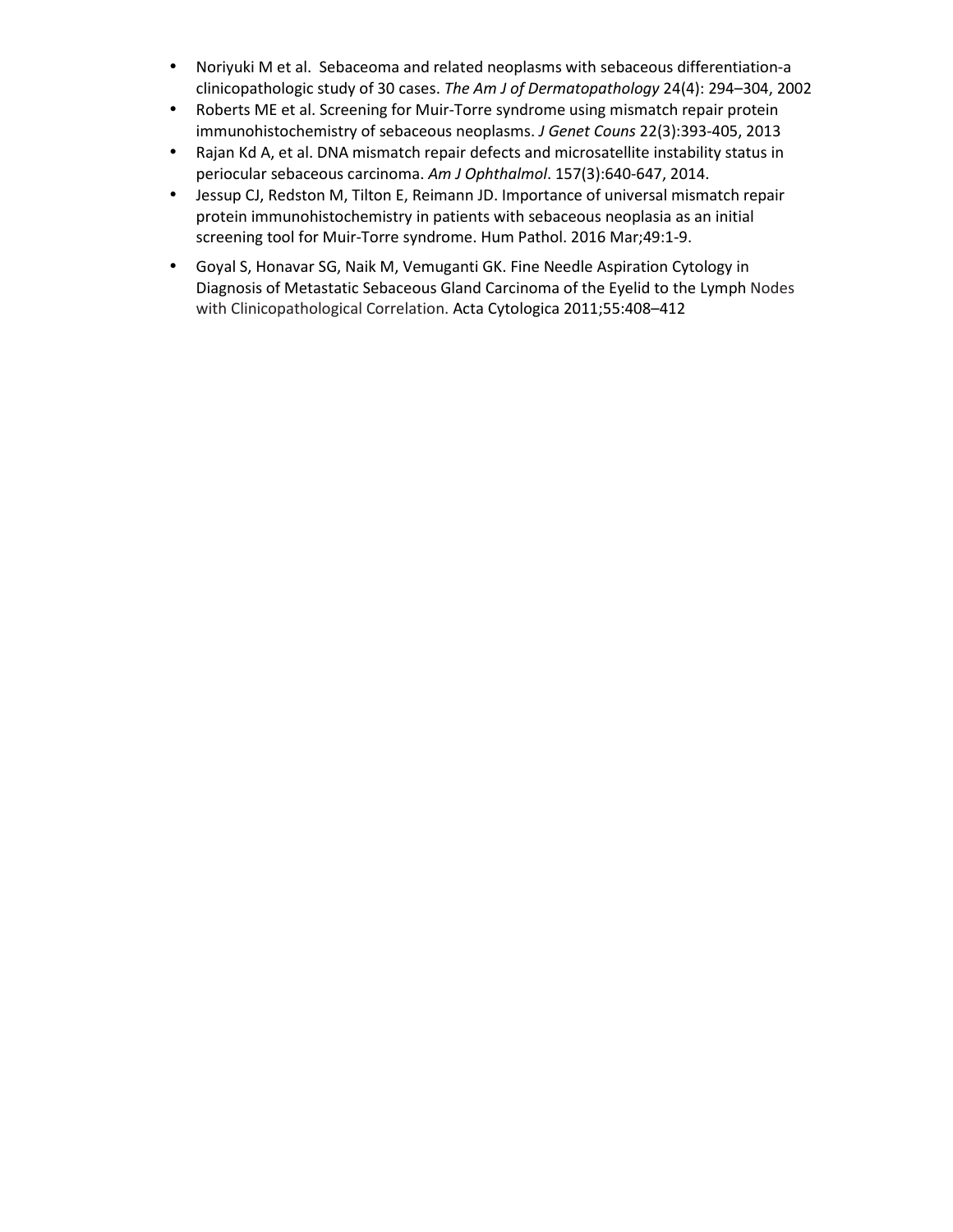- Noriyuki M et al. Sebaceoma and related neoplasms with sebaceous differentiation-a clinicopathologic study of 30 cases. *The Am J of Dermatopathology* 24(4): 294–304, 2002
- Roberts ME et al. Screening for Muir-Torre syndrome using mismatch repair protein immunohistochemistry of sebaceous neoplasms. *J Genet Couns* 22(3):393-405, 2013
- Rajan Kd A, et al. DNA mismatch repair defects and microsatellite instability status in periocular sebaceous carcinoma. *Am J Ophthalmol*. 157(3):640-647, 2014.
- Jessup CJ, Redston M, Tilton E, Reimann JD. Importance of universal mismatch repair protein immunohistochemistry in patients with sebaceous neoplasia as an initial screening tool for Muir-Torre syndrome. Hum Pathol. 2016 Mar;49:1-9.
- Goyal S, Honavar SG, Naik M, Vemuganti GK. Fine Needle Aspiration Cytology in Diagnosis of Metastatic Sebaceous Gland Carcinoma of the Eyelid to the Lymph Nodes with Clinicopathological Correlation. Acta Cytologica 2011;55:408–412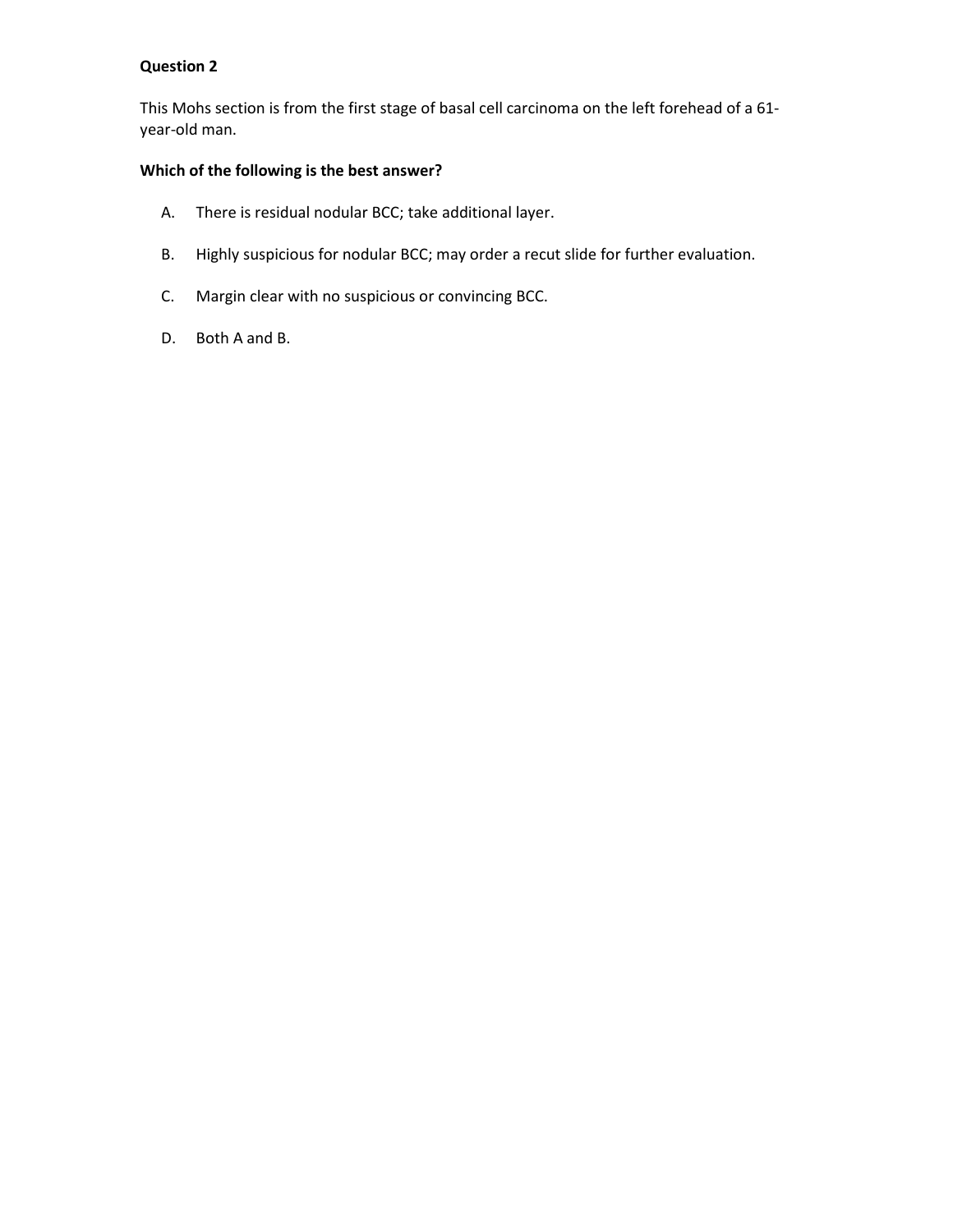This Mohs section is from the first stage of basal cell carcinoma on the left forehead of a 61 year-old man.

## **Which of the following is the best answer?**

- A. There is residual nodular BCC; take additional layer.
- B. Highly suspicious for nodular BCC; may order a recut slide for further evaluation.
- C. Margin clear with no suspicious or convincing BCC.
- D. Both A and B.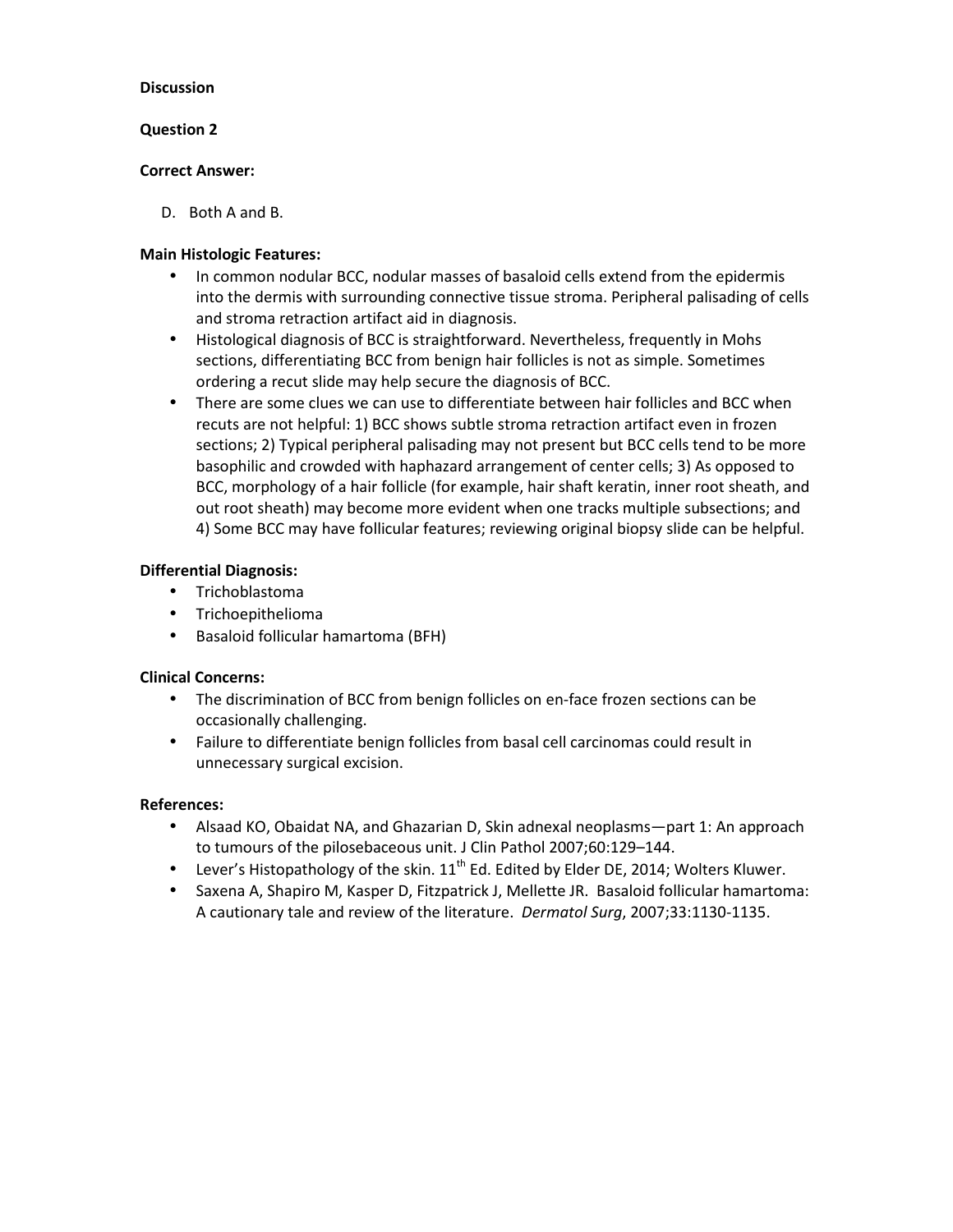### **Question 2**

#### **Correct Answer:**

D. Both A and B.

### **Main Histologic Features:**

- In common nodular BCC, nodular masses of basaloid cells extend from the epidermis into the dermis with surrounding connective tissue stroma. Peripheral palisading of cells and stroma retraction artifact aid in diagnosis.
- Histological diagnosis of BCC is straightforward. Nevertheless, frequently in Mohs sections, differentiating BCC from benign hair follicles is not as simple. Sometimes ordering a recut slide may help secure the diagnosis of BCC.
- There are some clues we can use to differentiate between hair follicles and BCC when recuts are not helpful: 1) BCC shows subtle stroma retraction artifact even in frozen sections; 2) Typical peripheral palisading may not present but BCC cells tend to be more basophilic and crowded with haphazard arrangement of center cells; 3) As opposed to BCC, morphology of a hair follicle (for example, hair shaft keratin, inner root sheath, and out root sheath) may become more evident when one tracks multiple subsections; and 4) Some BCC may have follicular features; reviewing original biopsy slide can be helpful.

## **Differential Diagnosis:**

- Trichoblastoma
- Trichoepithelioma
- Basaloid follicular hamartoma (BFH)

#### **Clinical Concerns:**

- The discrimination of BCC from benign follicles on en-face frozen sections can be occasionally challenging.
- Failure to differentiate benign follicles from basal cell carcinomas could result in unnecessary surgical excision.

- Alsaad KO, Obaidat NA, and Ghazarian D, Skin adnexal neoplasms—part 1: An approach to tumours of the pilosebaceous unit. J Clin Pathol 2007;60:129–144.
- Lever's Histopathology of the skin.  $11^{th}$  Ed. Edited by Elder DE, 2014; Wolters Kluwer.
- Saxena A, Shapiro M, Kasper D, Fitzpatrick J, Mellette JR. Basaloid follicular hamartoma: A cautionary tale and review of the literature. *Dermatol Surg*, 2007;33:1130-1135.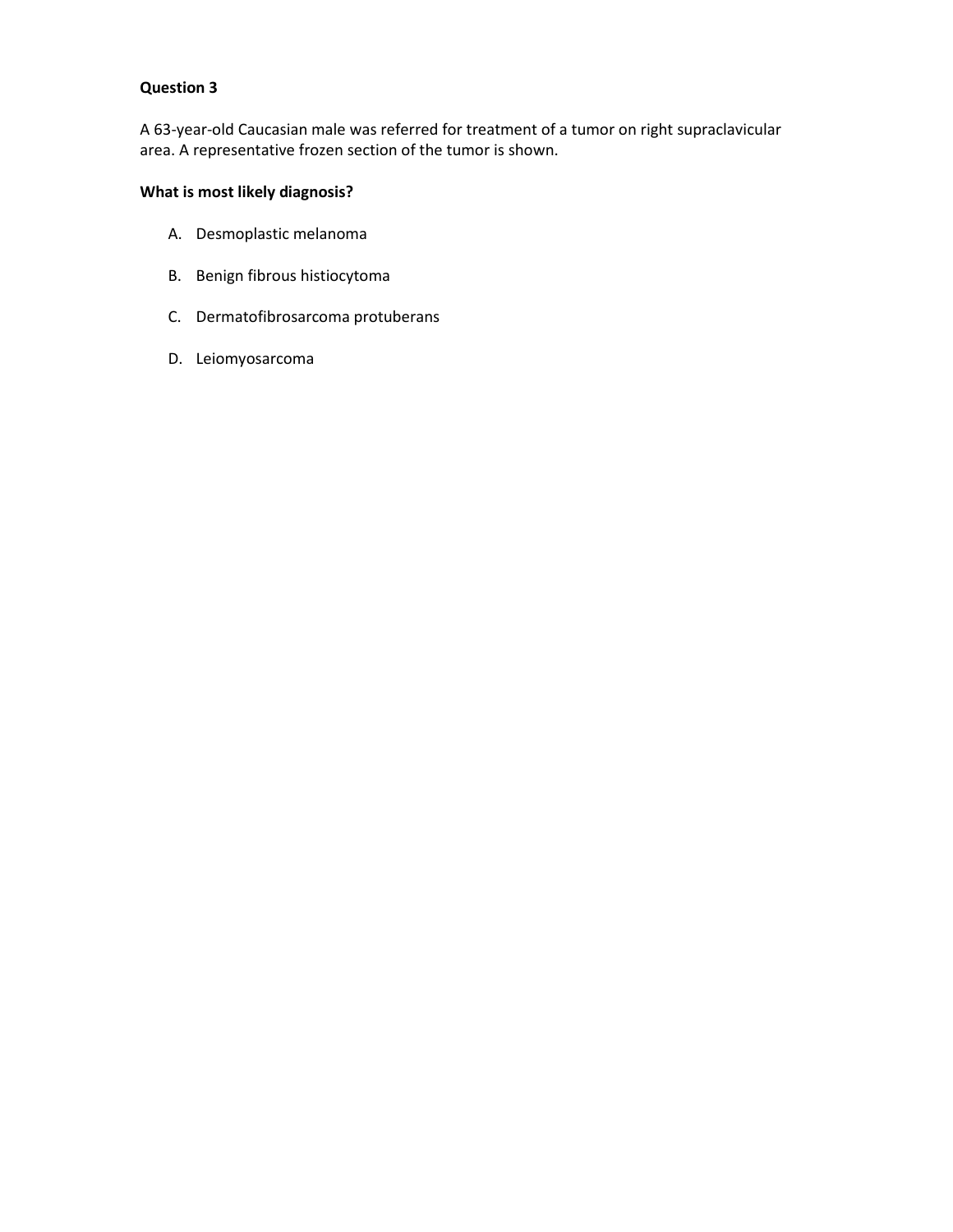A 63-year-old Caucasian male was referred for treatment of a tumor on right supraclavicular area. A representative frozen section of the tumor is shown.

# **What is most likely diagnosis?**

- A. Desmoplastic melanoma
- B. Benign fibrous histiocytoma
- C. Dermatofibrosarcoma protuberans
- D. Leiomyosarcoma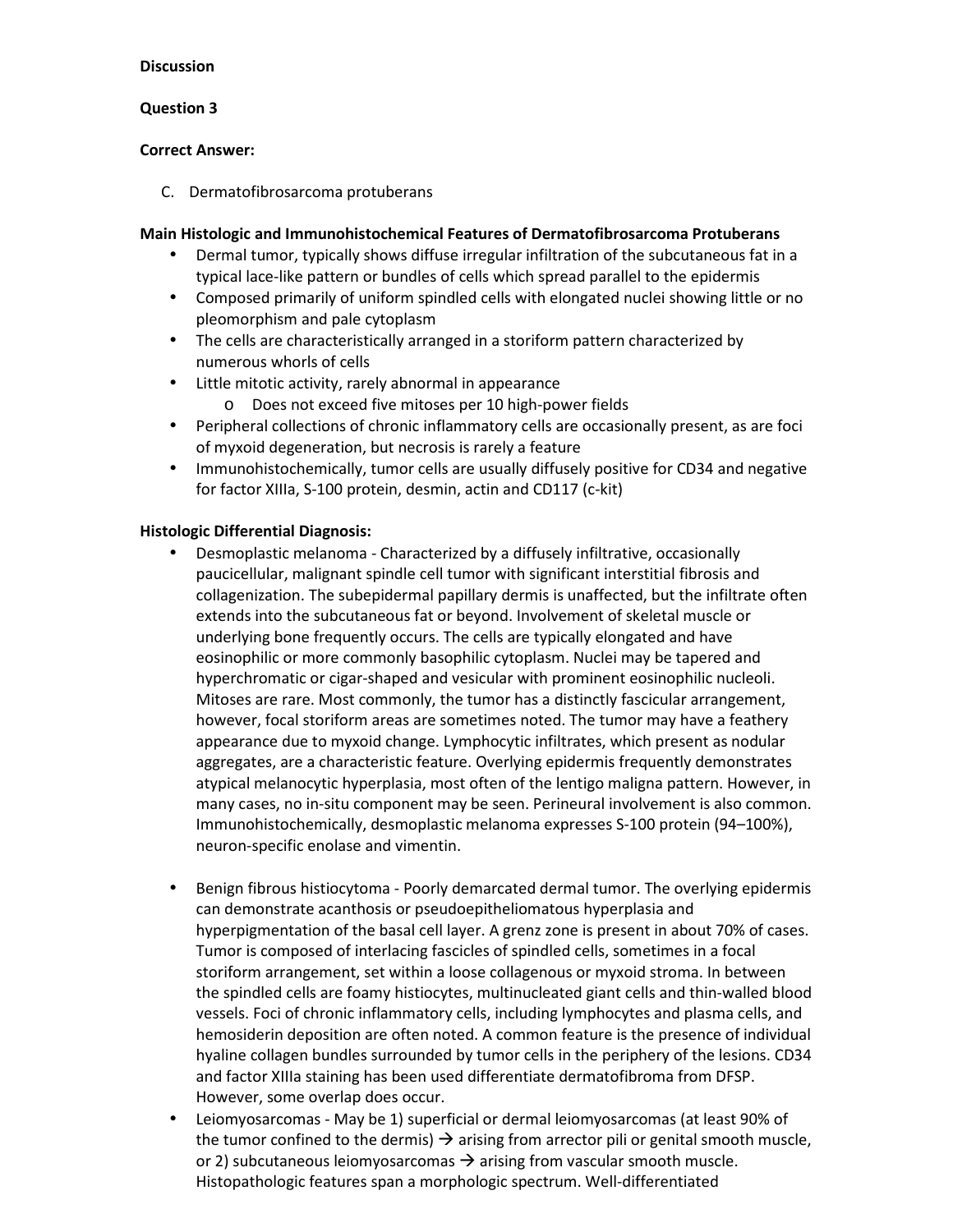### **Question 3**

### **Correct Answer:**

C. Dermatofibrosarcoma protuberans

### **Main Histologic and Immunohistochemical Features of Dermatofibrosarcoma Protuberans**

- Dermal tumor, typically shows diffuse irregular infiltration of the subcutaneous fat in a typical lace-like pattern or bundles of cells which spread parallel to the epidermis
- Composed primarily of uniform spindled cells with elongated nuclei showing little or no pleomorphism and pale cytoplasm
- The cells are characteristically arranged in a storiform pattern characterized by numerous whorls of cells
- Little mitotic activity, rarely abnormal in appearance
	- o Does not exceed five mitoses per 10 high-power fields
- Peripheral collections of chronic inflammatory cells are occasionally present, as are foci of myxoid degeneration, but necrosis is rarely a feature
- Immunohistochemically, tumor cells are usually diffusely positive for CD34 and negative for factor XIIIa, S-100 protein, desmin, actin and CD117 (c-kit)

## **Histologic Differential Diagnosis:**

- Desmoplastic melanoma Characterized by a diffusely infiltrative, occasionally paucicellular, malignant spindle cell tumor with significant interstitial fibrosis and collagenization. The subepidermal papillary dermis is unaffected, but the infiltrate often extends into the subcutaneous fat or beyond. Involvement of skeletal muscle or underlying bone frequently occurs. The cells are typically elongated and have eosinophilic or more commonly basophilic cytoplasm. Nuclei may be tapered and hyperchromatic or cigar-shaped and vesicular with prominent eosinophilic nucleoli. Mitoses are rare. Most commonly, the tumor has a distinctly fascicular arrangement, however, focal storiform areas are sometimes noted. The tumor may have a feathery appearance due to myxoid change. Lymphocytic infiltrates, which present as nodular aggregates, are a characteristic feature. Overlying epidermis frequently demonstrates atypical melanocytic hyperplasia, most often of the lentigo maligna pattern. However, in many cases, no in-situ component may be seen. Perineural involvement is also common. Immunohistochemically, desmoplastic melanoma expresses S-100 protein (94–100%), neuron-specific enolase and vimentin.
- Benign fibrous histiocytoma Poorly demarcated dermal tumor. The overlying epidermis can demonstrate acanthosis or pseudoepitheliomatous hyperplasia and hyperpigmentation of the basal cell layer. A grenz zone is present in about 70% of cases. Tumor is composed of interlacing fascicles of spindled cells, sometimes in a focal storiform arrangement, set within a loose collagenous or myxoid stroma. In between the spindled cells are foamy histiocytes, multinucleated giant cells and thin-walled blood vessels. Foci of chronic inflammatory cells, including lymphocytes and plasma cells, and hemosiderin deposition are often noted. A common feature is the presence of individual hyaline collagen bundles surrounded by tumor cells in the periphery of the lesions. CD34 and factor XIIIa staining has been used differentiate dermatofibroma from DFSP. However, some overlap does occur.
- Leiomyosarcomas May be 1) superficial or dermal leiomyosarcomas (at least 90% of the tumor confined to the dermis)  $\rightarrow$  arising from arrector pili or genital smooth muscle, or 2) subcutaneous leiomyosarcomas  $\rightarrow$  arising from vascular smooth muscle. Histopathologic features span a morphologic spectrum. Well-differentiated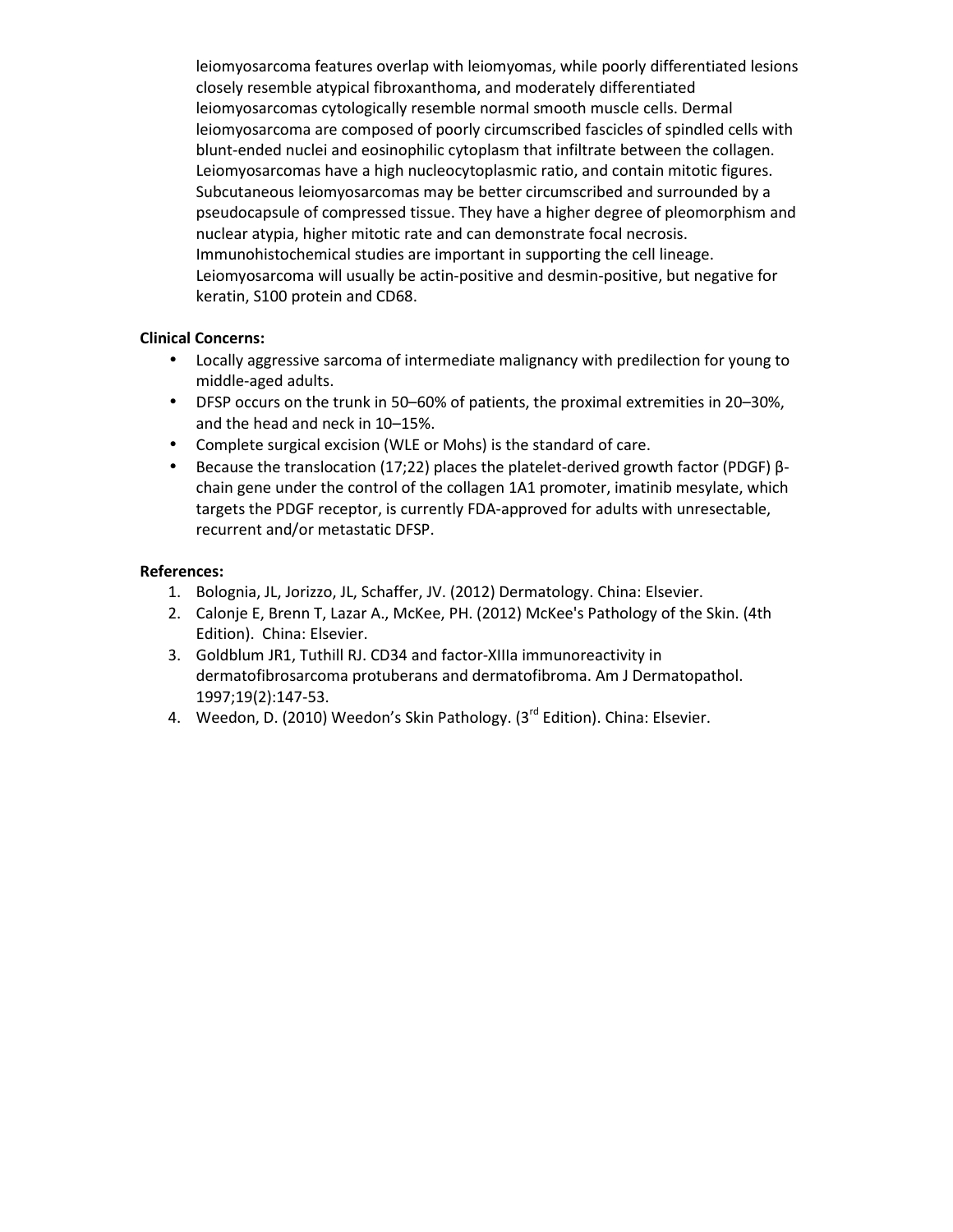leiomyosarcoma features overlap with leiomyomas, while poorly differentiated lesions closely resemble atypical fibroxanthoma, and moderately differentiated leiomyosarcomas cytologically resemble normal smooth muscle cells. Dermal leiomyosarcoma are composed of poorly circumscribed fascicles of spindled cells with blunt-ended nuclei and eosinophilic cytoplasm that infiltrate between the collagen. Leiomyosarcomas have a high nucleocytoplasmic ratio, and contain mitotic figures. Subcutaneous leiomyosarcomas may be better circumscribed and surrounded by a pseudocapsule of compressed tissue. They have a higher degree of pleomorphism and nuclear atypia, higher mitotic rate and can demonstrate focal necrosis. Immunohistochemical studies are important in supporting the cell lineage. Leiomyosarcoma will usually be actin-positive and desmin-positive, but negative for keratin, S100 protein and CD68.

#### **Clinical Concerns:**

- Locally aggressive sarcoma of intermediate malignancy with predilection for young to middle-aged adults.
- DFSP occurs on the trunk in 50–60% of patients, the proximal extremities in 20–30%, and the head and neck in 10–15%.
- Complete surgical excision (WLE or Mohs) is the standard of care.
- Because the translocation (17;22) places the platelet-derived growth factor (PDGF) βchain gene under the control of the collagen 1A1 promoter, imatinib mesylate, which targets the PDGF receptor, is currently FDA-approved for adults with unresectable, recurrent and/or metastatic DFSP.

- 1. Bolognia, JL, Jorizzo, JL, Schaffer, JV. (2012) Dermatology. China: Elsevier.
- 2. Calonje E, Brenn T, Lazar A., McKee, PH. (2012) McKee's Pathology of the Skin. (4th Edition). China: Elsevier.
- 3. Goldblum JR1, Tuthill RJ. CD34 and factor-XIIIa immunoreactivity in dermatofibrosarcoma protuberans and dermatofibroma. Am J Dermatopathol. 1997;19(2):147-53.
- 4. Weedon, D. (2010) Weedon's Skin Pathology. (3<sup>rd</sup> Edition). China: Elsevier.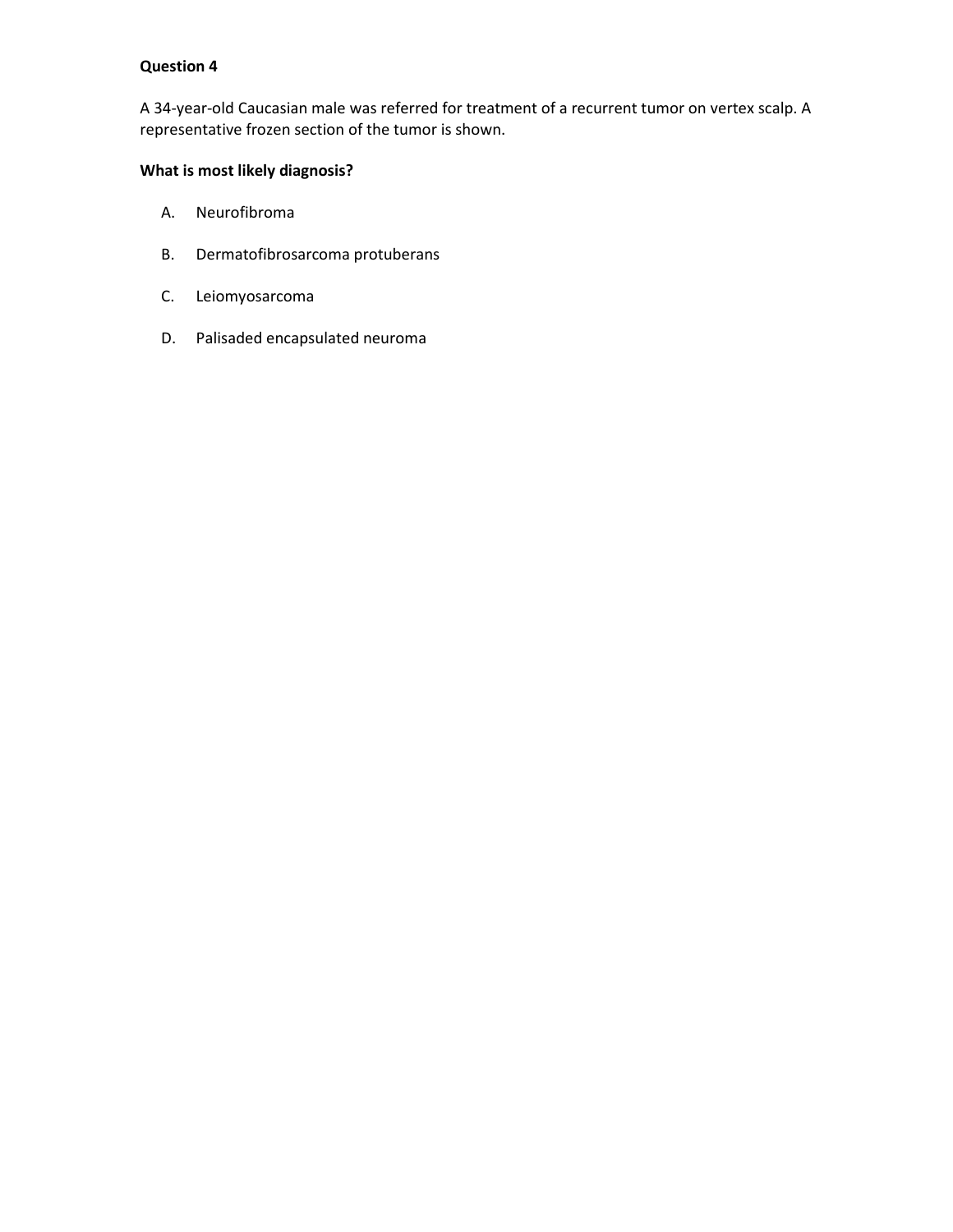A 34-year-old Caucasian male was referred for treatment of a recurrent tumor on vertex scalp. A representative frozen section of the tumor is shown.

## **What is most likely diagnosis?**

- A. Neurofibroma
- B. Dermatofibrosarcoma protuberans
- C. Leiomyosarcoma
- D. Palisaded encapsulated neuroma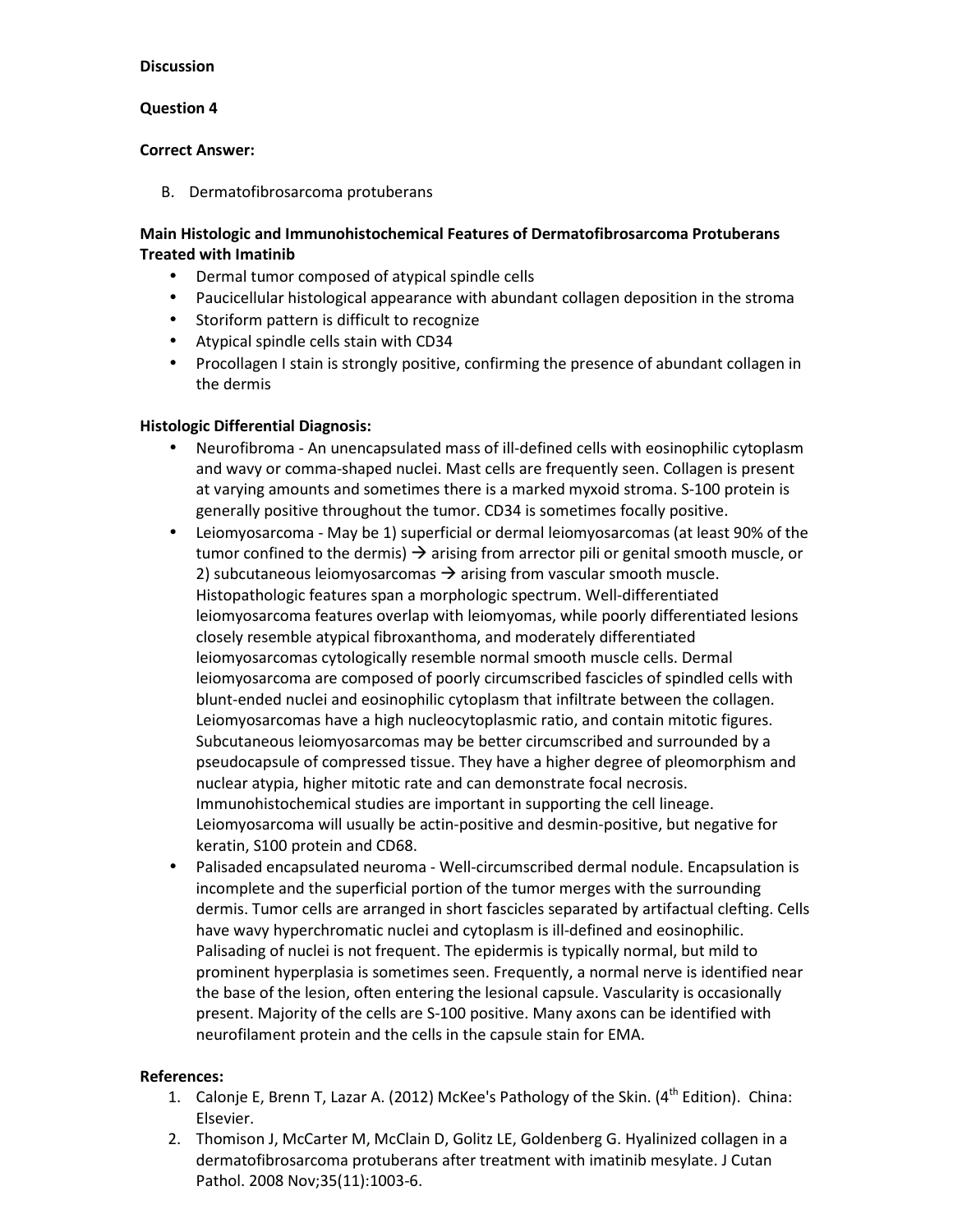### **Question 4**

#### **Correct Answer:**

B. Dermatofibrosarcoma protuberans

## **Main Histologic and Immunohistochemical Features of Dermatofibrosarcoma Protuberans Treated with Imatinib**

- Dermal tumor composed of atypical spindle cells
- Paucicellular histological appearance with abundant collagen deposition in the stroma
- Storiform pattern is difficult to recognize
- Atypical spindle cells stain with CD34
- Procollagen I stain is strongly positive, confirming the presence of abundant collagen in the dermis

## **Histologic Differential Diagnosis:**

- Neurofibroma An unencapsulated mass of ill-defined cells with eosinophilic cytoplasm and wavy or comma-shaped nuclei. Mast cells are frequently seen. Collagen is present at varying amounts and sometimes there is a marked myxoid stroma. S-100 protein is generally positive throughout the tumor. CD34 is sometimes focally positive.
- Leiomyosarcoma May be 1) superficial or dermal leiomyosarcomas (at least 90% of the tumor confined to the dermis)  $\rightarrow$  arising from arrector pili or genital smooth muscle, or 2) subcutaneous leiomyosarcomas  $\rightarrow$  arising from vascular smooth muscle. Histopathologic features span a morphologic spectrum. Well-differentiated leiomyosarcoma features overlap with leiomyomas, while poorly differentiated lesions closely resemble atypical fibroxanthoma, and moderately differentiated leiomyosarcomas cytologically resemble normal smooth muscle cells. Dermal leiomyosarcoma are composed of poorly circumscribed fascicles of spindled cells with blunt-ended nuclei and eosinophilic cytoplasm that infiltrate between the collagen. Leiomyosarcomas have a high nucleocytoplasmic ratio, and contain mitotic figures. Subcutaneous leiomyosarcomas may be better circumscribed and surrounded by a pseudocapsule of compressed tissue. They have a higher degree of pleomorphism and nuclear atypia, higher mitotic rate and can demonstrate focal necrosis. Immunohistochemical studies are important in supporting the cell lineage. Leiomyosarcoma will usually be actin-positive and desmin-positive, but negative for keratin, S100 protein and CD68.
- Palisaded encapsulated neuroma Well-circumscribed dermal nodule. Encapsulation is incomplete and the superficial portion of the tumor merges with the surrounding dermis. Tumor cells are arranged in short fascicles separated by artifactual clefting. Cells have wavy hyperchromatic nuclei and cytoplasm is ill-defined and eosinophilic. Palisading of nuclei is not frequent. The epidermis is typically normal, but mild to prominent hyperplasia is sometimes seen. Frequently, a normal nerve is identified near the base of the lesion, often entering the lesional capsule. Vascularity is occasionally present. Majority of the cells are S-100 positive. Many axons can be identified with neurofilament protein and the cells in the capsule stain for EMA.

- 1. Calonie E, Brenn T, Lazar A. (2012) McKee's Pathology of the Skin.  $(4<sup>th</sup>$  Edition). China: Elsevier.
- 2. Thomison J, McCarter M, McClain D, Golitz LE, Goldenberg G. Hyalinized collagen in a dermatofibrosarcoma protuberans after treatment with imatinib mesylate. J Cutan Pathol. 2008 Nov;35(11):1003-6.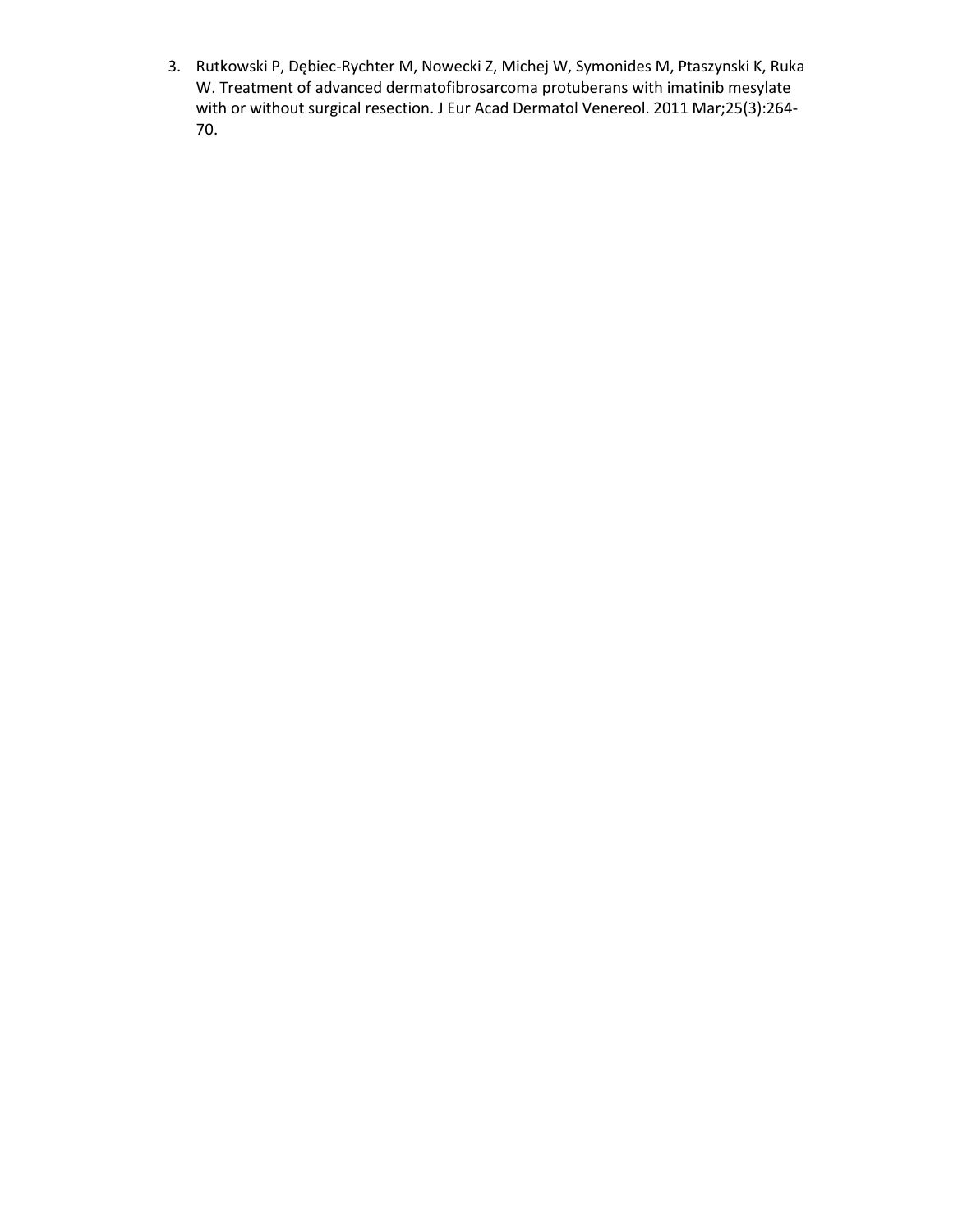3. Rutkowski P, Dębiec-Rychter M, Nowecki Z, Michej W, Symonides M, Ptaszynski K, Ruka W. Treatment of advanced dermatofibrosarcoma protuberans with imatinib mesylate with or without surgical resection. J Eur Acad Dermatol Venereol. 2011 Mar;25(3):264- 70.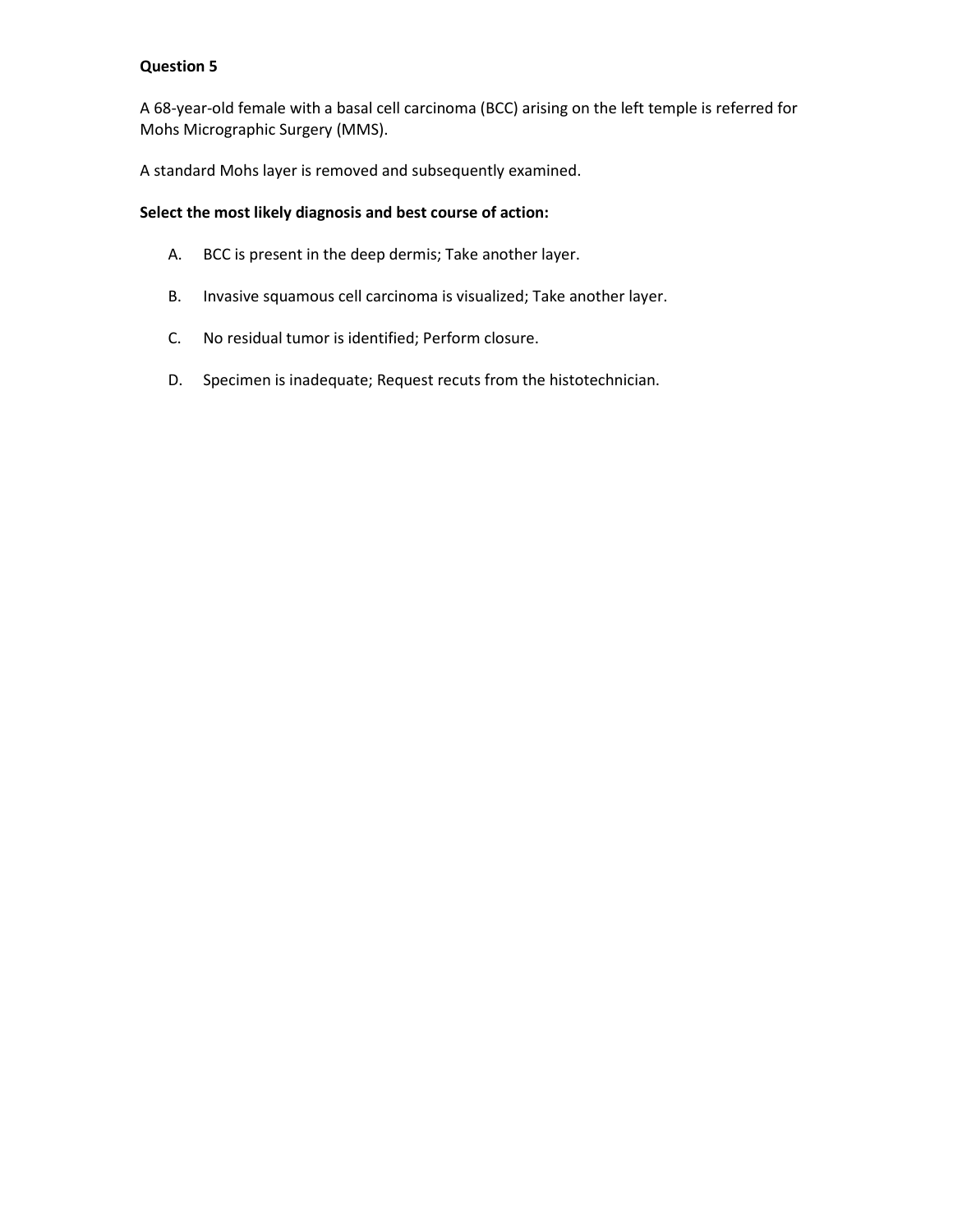A 68-year-old female with a basal cell carcinoma (BCC) arising on the left temple is referred for Mohs Micrographic Surgery (MMS).

A standard Mohs layer is removed and subsequently examined.

## **Select the most likely diagnosis and best course of action:**

- A. BCC is present in the deep dermis; Take another layer.
- B. Invasive squamous cell carcinoma is visualized; Take another layer.
- C. No residual tumor is identified; Perform closure.
- D. Specimen is inadequate; Request recuts from the histotechnician.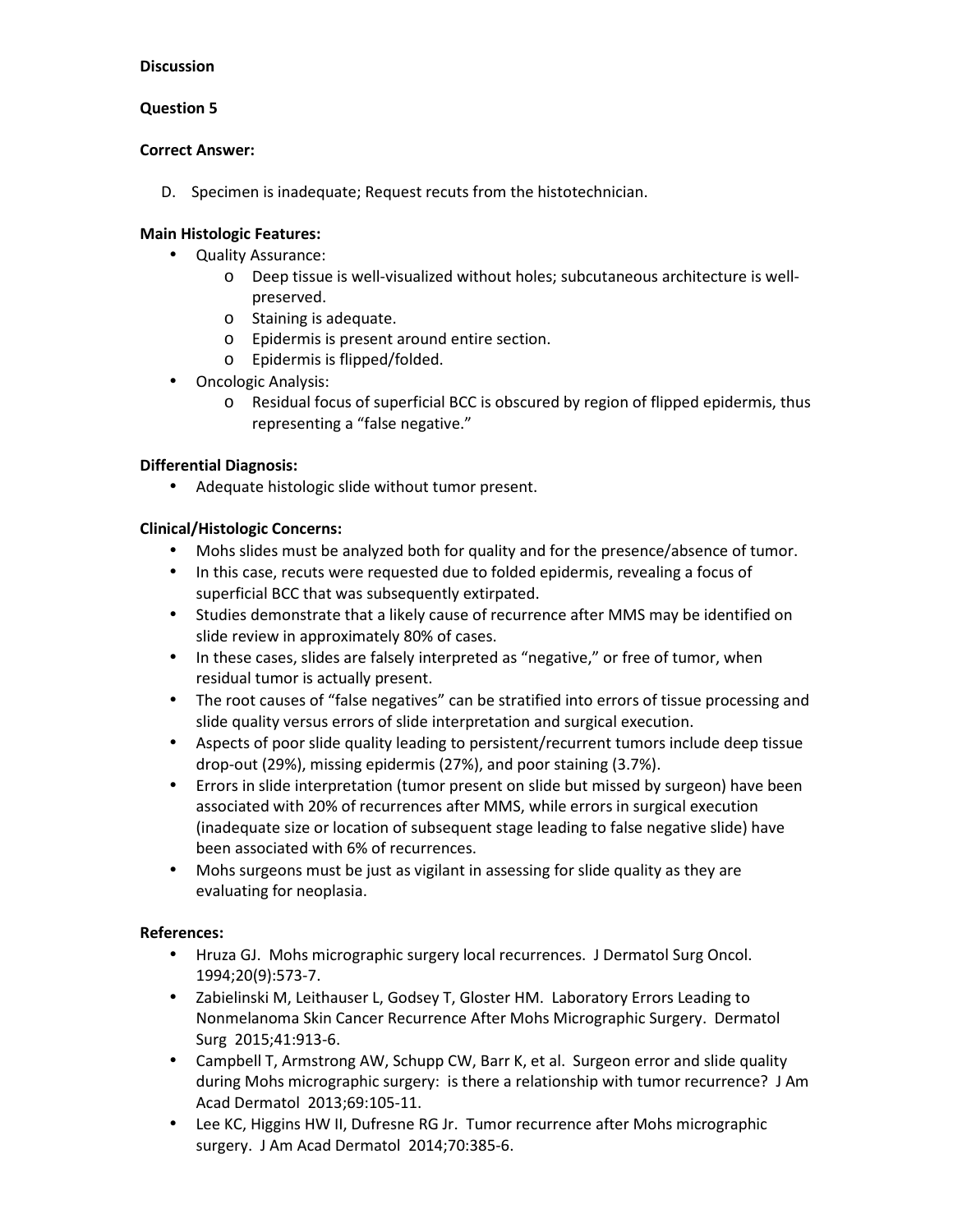## **Question 5**

### **Correct Answer:**

D. Specimen is inadequate; Request recuts from the histotechnician.

## **Main Histologic Features:**

- Quality Assurance:
	- o Deep tissue is well-visualized without holes; subcutaneous architecture is wellpreserved.
	- o Staining is adequate.
	- o Epidermis is present around entire section.
	- o Epidermis is flipped/folded.
- Oncologic Analysis:
	- o Residual focus of superficial BCC is obscured by region of flipped epidermis, thus representing a "false negative."

## **Differential Diagnosis:**

• Adequate histologic slide without tumor present.

## **Clinical/Histologic Concerns:**

- Mohs slides must be analyzed both for quality and for the presence/absence of tumor.
- In this case, recuts were requested due to folded epidermis, revealing a focus of superficial BCC that was subsequently extirpated.
- Studies demonstrate that a likely cause of recurrence after MMS may be identified on slide review in approximately 80% of cases.
- In these cases, slides are falsely interpreted as "negative," or free of tumor, when residual tumor is actually present.
- The root causes of "false negatives" can be stratified into errors of tissue processing and slide quality versus errors of slide interpretation and surgical execution.
- Aspects of poor slide quality leading to persistent/recurrent tumors include deep tissue drop-out (29%), missing epidermis (27%), and poor staining (3.7%).
- Errors in slide interpretation (tumor present on slide but missed by surgeon) have been associated with 20% of recurrences after MMS, while errors in surgical execution (inadequate size or location of subsequent stage leading to false negative slide) have been associated with 6% of recurrences.
- Mohs surgeons must be just as vigilant in assessing for slide quality as they are evaluating for neoplasia.

- Hruza GJ. Mohs micrographic surgery local recurrences. J Dermatol Surg Oncol. 1994;20(9):573-7.
- Zabielinski M, Leithauser L, Godsey T, Gloster HM. Laboratory Errors Leading to Nonmelanoma Skin Cancer Recurrence After Mohs Micrographic Surgery. Dermatol Surg 2015;41:913-6.
- Campbell T, Armstrong AW, Schupp CW, Barr K, et al. Surgeon error and slide quality during Mohs micrographic surgery: is there a relationship with tumor recurrence? J Am Acad Dermatol 2013;69:105-11.
- Lee KC, Higgins HW II, Dufresne RG Jr. Tumor recurrence after Mohs micrographic surgery. J Am Acad Dermatol 2014;70:385-6.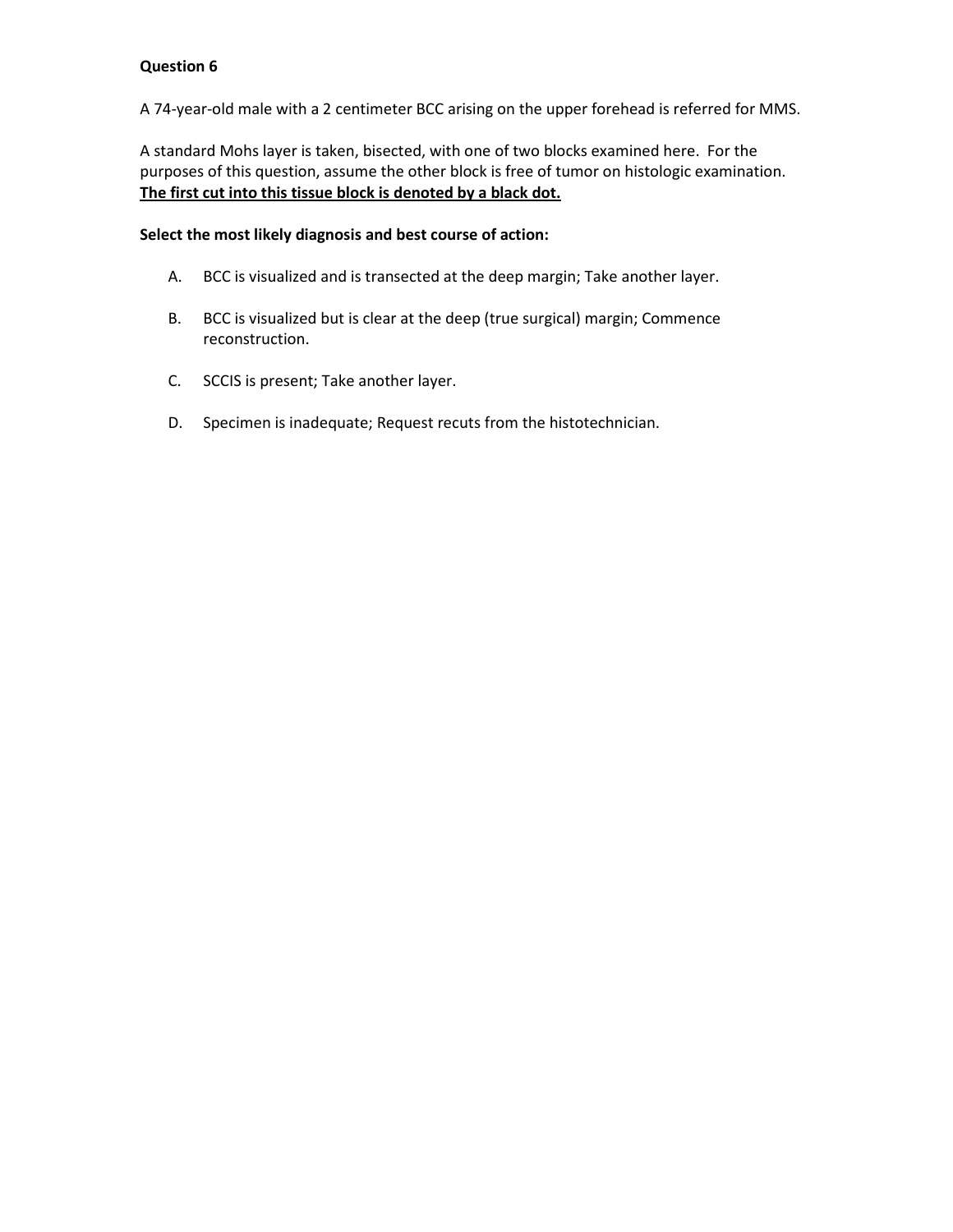A 74-year-old male with a 2 centimeter BCC arising on the upper forehead is referred for MMS.

A standard Mohs layer is taken, bisected, with one of two blocks examined here. For the purposes of this question, assume the other block is free of tumor on histologic examination. **The first cut into this tissue block is denoted by a black dot.** 

### **Select the most likely diagnosis and best course of action:**

- A. BCC is visualized and is transected at the deep margin; Take another layer.
- B. BCC is visualized but is clear at the deep (true surgical) margin; Commence reconstruction.
- C. SCCIS is present; Take another layer.
- D. Specimen is inadequate; Request recuts from the histotechnician.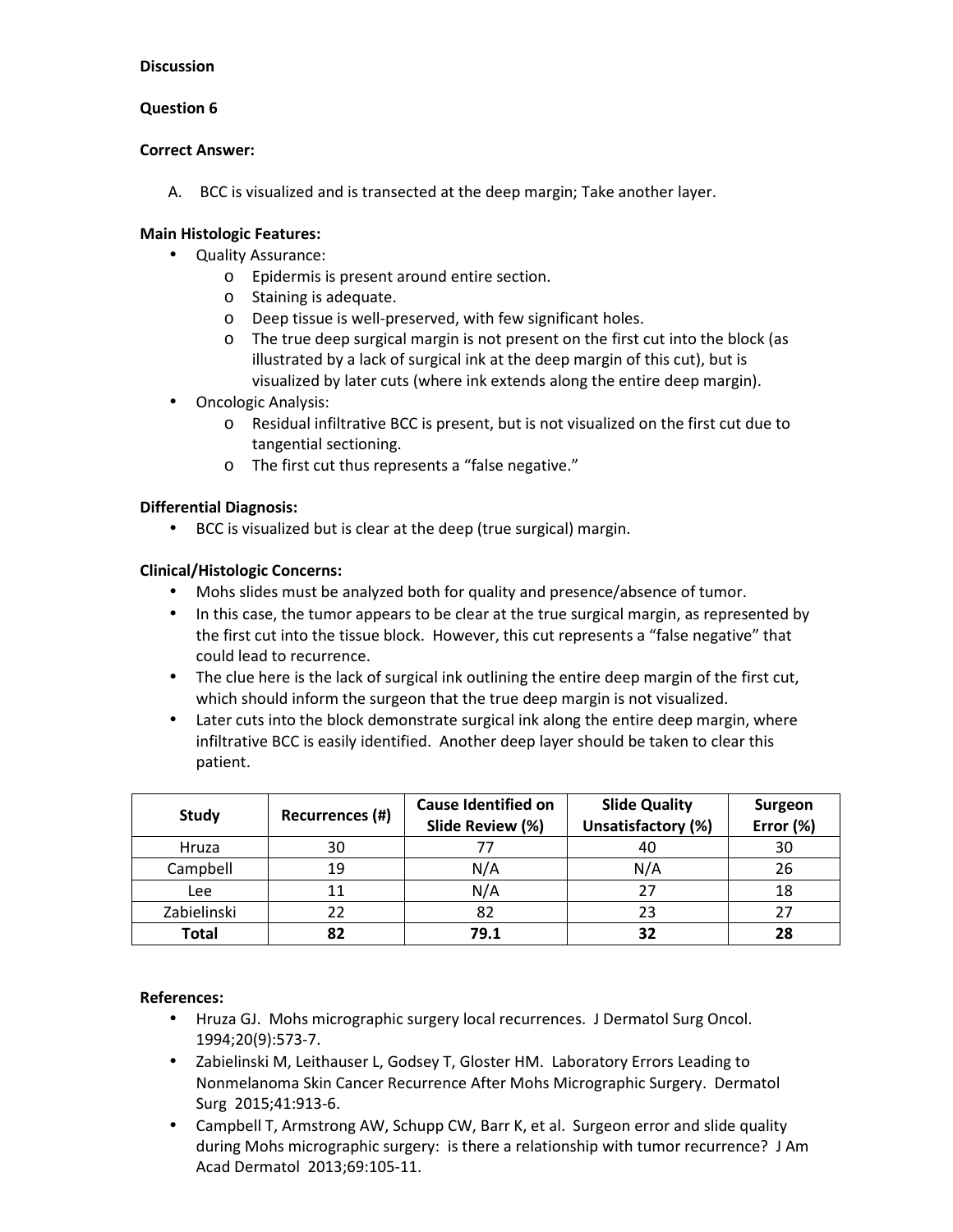## **Question 6**

#### **Correct Answer:**

A. BCC is visualized and is transected at the deep margin; Take another layer.

## **Main Histologic Features:**

- Quality Assurance:
	- o Epidermis is present around entire section.
	- o Staining is adequate.
	- o Deep tissue is well-preserved, with few significant holes.
	- o The true deep surgical margin is not present on the first cut into the block (as illustrated by a lack of surgical ink at the deep margin of this cut), but is visualized by later cuts (where ink extends along the entire deep margin).
- Oncologic Analysis:
	- o Residual infiltrative BCC is present, but is not visualized on the first cut due to tangential sectioning.
	- o The first cut thus represents a "false negative."

## **Differential Diagnosis:**

• BCC is visualized but is clear at the deep (true surgical) margin.

## **Clinical/Histologic Concerns:**

- Mohs slides must be analyzed both for quality and presence/absence of tumor.
- In this case, the tumor appears to be clear at the true surgical margin, as represented by the first cut into the tissue block. However, this cut represents a "false negative" that could lead to recurrence.
- The clue here is the lack of surgical ink outlining the entire deep margin of the first cut, which should inform the surgeon that the true deep margin is not visualized.
- Later cuts into the block demonstrate surgical ink along the entire deep margin, where infiltrative BCC is easily identified. Another deep layer should be taken to clear this patient.

| Study        | Recurrences (#) | <b>Cause Identified on</b><br>Slide Review (%) | <b>Slide Quality</b><br>Unsatisfactory (%) | <b>Surgeon</b><br>Error (%) |
|--------------|-----------------|------------------------------------------------|--------------------------------------------|-----------------------------|
| Hruza        | 30              |                                                | 40                                         | 30                          |
| Campbell     | 19              | N/A                                            | N/A                                        | 26                          |
| <b>Lee</b>   |                 | N/A                                            | 27                                         | 18                          |
| Zabielinski  |                 | 82                                             | 23                                         | 27                          |
| <b>Total</b> | 82              | 79.1                                           | 32                                         | 28                          |

- Hruza GJ. Mohs micrographic surgery local recurrences. J Dermatol Surg Oncol. 1994;20(9):573-7.
- Zabielinski M, Leithauser L, Godsey T, Gloster HM. Laboratory Errors Leading to Nonmelanoma Skin Cancer Recurrence After Mohs Micrographic Surgery. Dermatol Surg 2015;41:913-6.
- Campbell T, Armstrong AW, Schupp CW, Barr K, et al. Surgeon error and slide quality during Mohs micrographic surgery: is there a relationship with tumor recurrence? J Am Acad Dermatol 2013;69:105-11.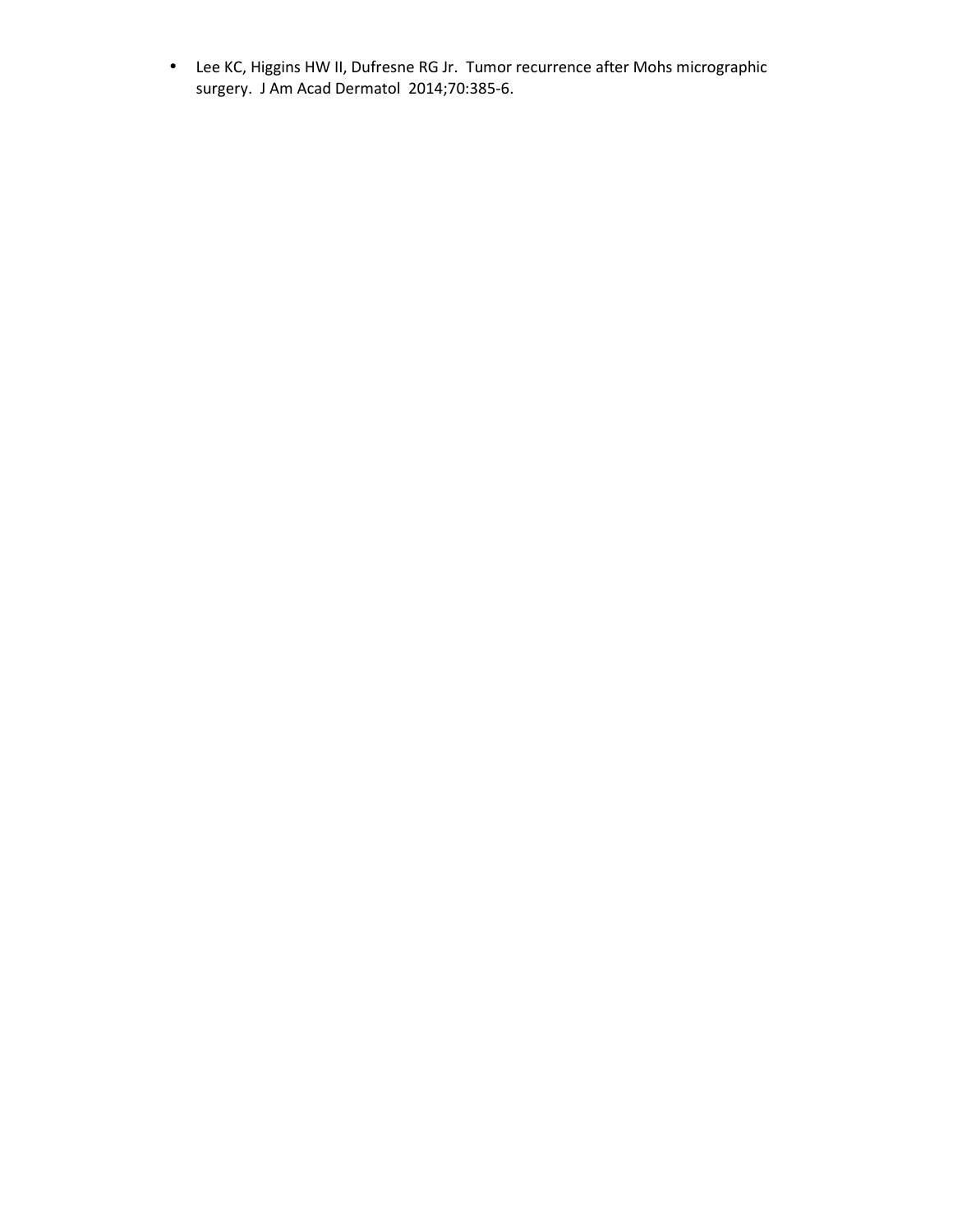• Lee KC, Higgins HW II, Dufresne RG Jr. Tumor recurrence after Mohs micrographic surgery. J Am Acad Dermatol 2014;70:385-6.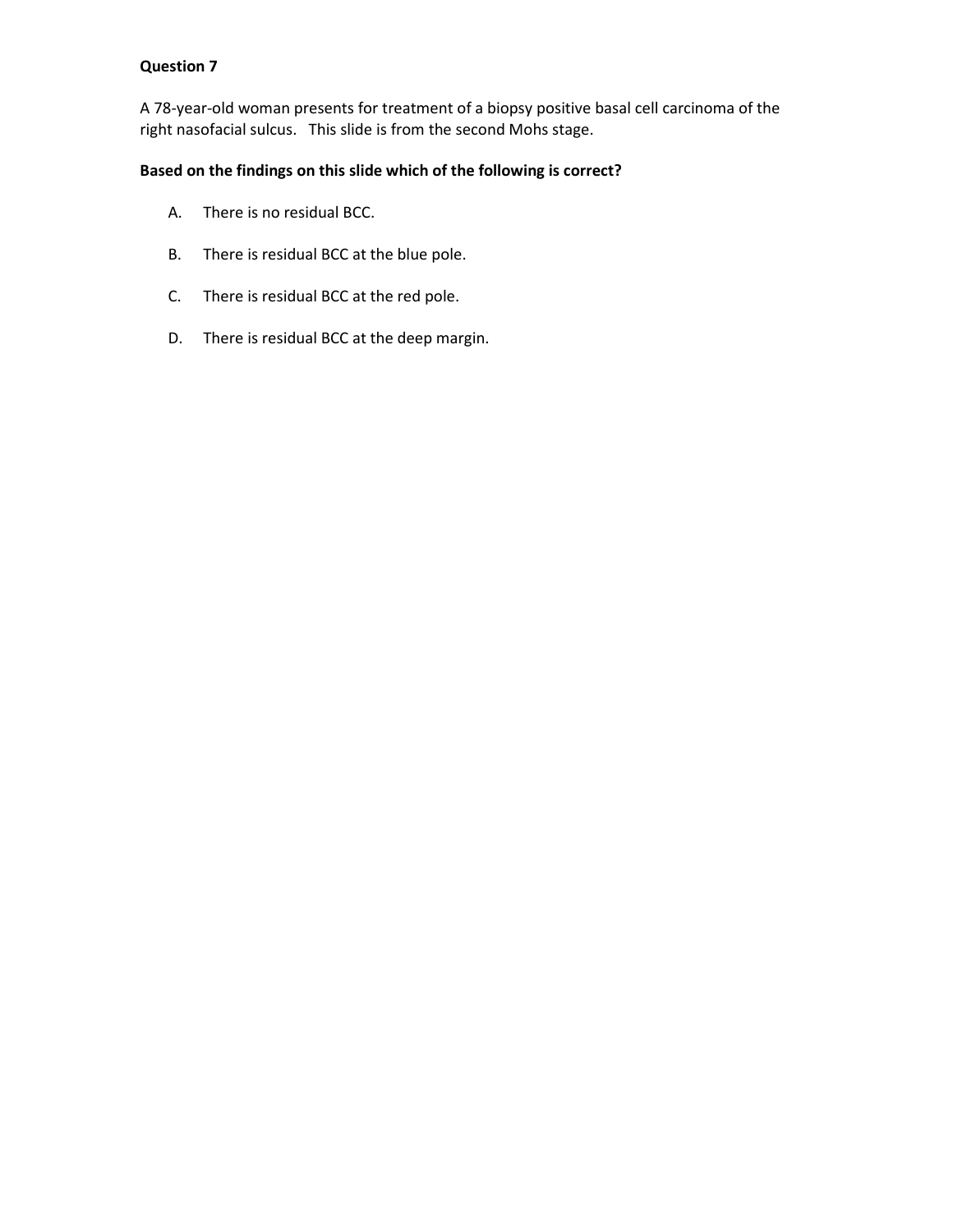A 78-year-old woman presents for treatment of a biopsy positive basal cell carcinoma of the right nasofacial sulcus. This slide is from the second Mohs stage.

## **Based on the findings on this slide which of the following is correct?**

- A. There is no residual BCC.
- B. There is residual BCC at the blue pole.
- C. There is residual BCC at the red pole.
- D. There is residual BCC at the deep margin.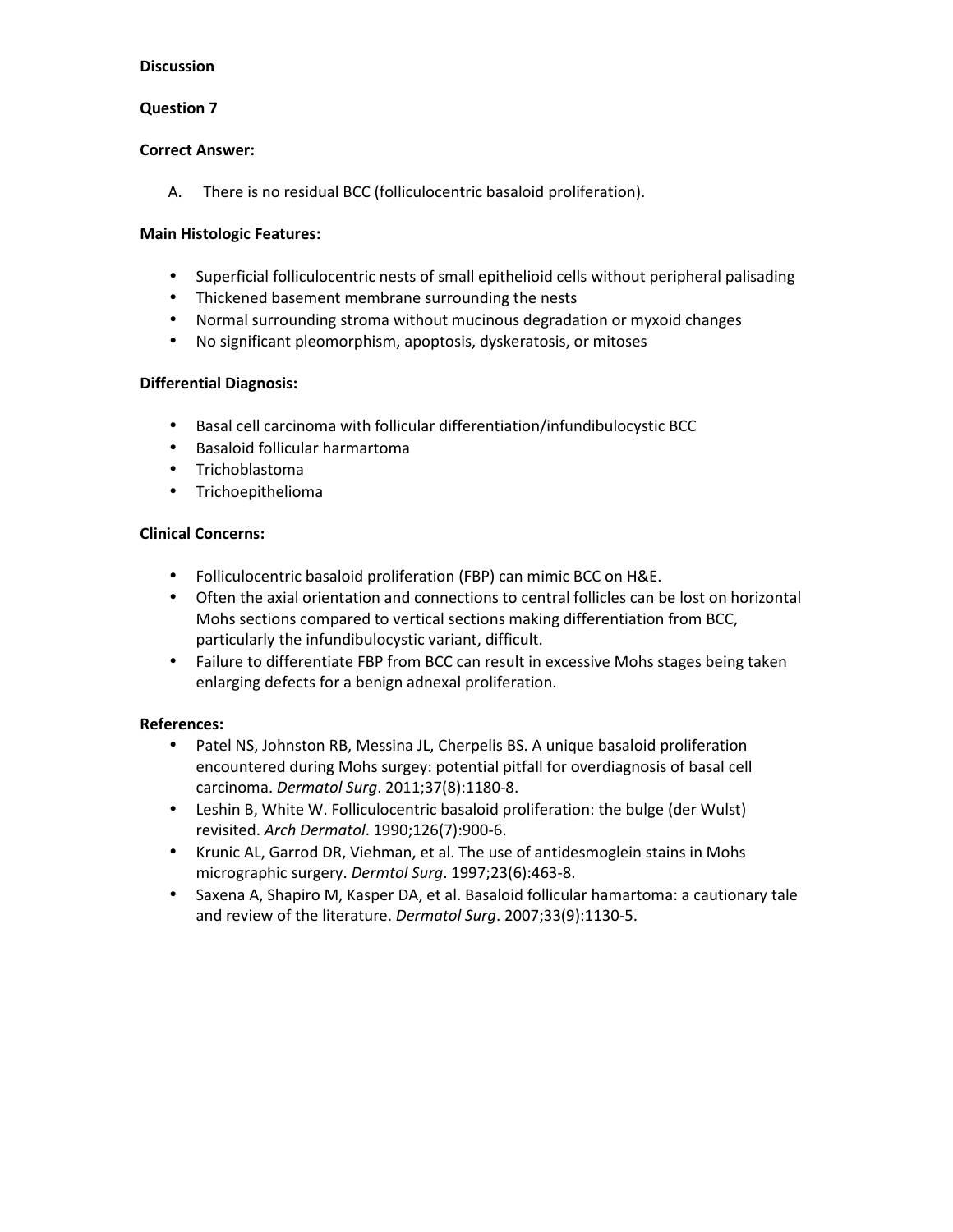## **Question 7**

#### **Correct Answer:**

A. There is no residual BCC (folliculocentric basaloid proliferation).

### **Main Histologic Features:**

- Superficial folliculocentric nests of small epithelioid cells without peripheral palisading
- Thickened basement membrane surrounding the nests
- Normal surrounding stroma without mucinous degradation or myxoid changes
- No significant pleomorphism, apoptosis, dyskeratosis, or mitoses

## **Differential Diagnosis:**

- Basal cell carcinoma with follicular differentiation/infundibulocystic BCC
- Basaloid follicular harmartoma
- Trichoblastoma
- Trichoepithelioma

## **Clinical Concerns:**

- Folliculocentric basaloid proliferation (FBP) can mimic BCC on H&E.
- Often the axial orientation and connections to central follicles can be lost on horizontal Mohs sections compared to vertical sections making differentiation from BCC, particularly the infundibulocystic variant, difficult.
- Failure to differentiate FBP from BCC can result in excessive Mohs stages being taken enlarging defects for a benign adnexal proliferation.

- Patel NS, Johnston RB, Messina JL, Cherpelis BS. A unique basaloid proliferation encountered during Mohs surgey: potential pitfall for overdiagnosis of basal cell carcinoma. *Dermatol Surg*. 2011;37(8):1180-8.
- Leshin B, White W. Folliculocentric basaloid proliferation: the bulge (der Wulst) revisited. *Arch Dermatol*. 1990;126(7):900-6.
- Krunic AL, Garrod DR, Viehman, et al. The use of antidesmoglein stains in Mohs micrographic surgery. *Dermtol Surg*. 1997;23(6):463-8.
- Saxena A, Shapiro M, Kasper DA, et al. Basaloid follicular hamartoma: a cautionary tale and review of the literature. *Dermatol Surg*. 2007;33(9):1130-5.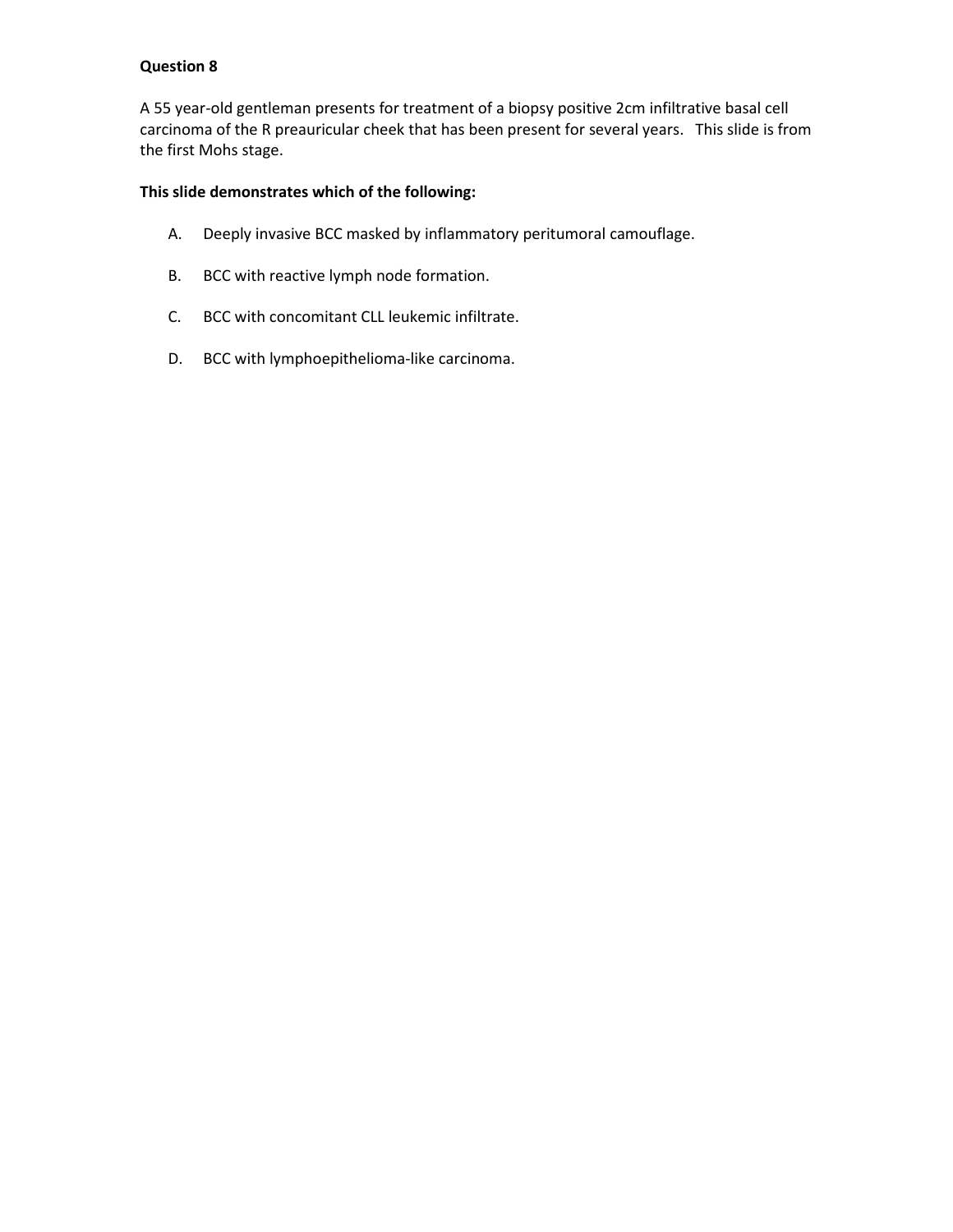A 55 year-old gentleman presents for treatment of a biopsy positive 2cm infiltrative basal cell carcinoma of the R preauricular cheek that has been present for several years. This slide is from the first Mohs stage.

# **This slide demonstrates which of the following:**

- A. Deeply invasive BCC masked by inflammatory peritumoral camouflage.
- B. BCC with reactive lymph node formation.
- C. BCC with concomitant CLL leukemic infiltrate.
- D. BCC with lymphoepithelioma-like carcinoma.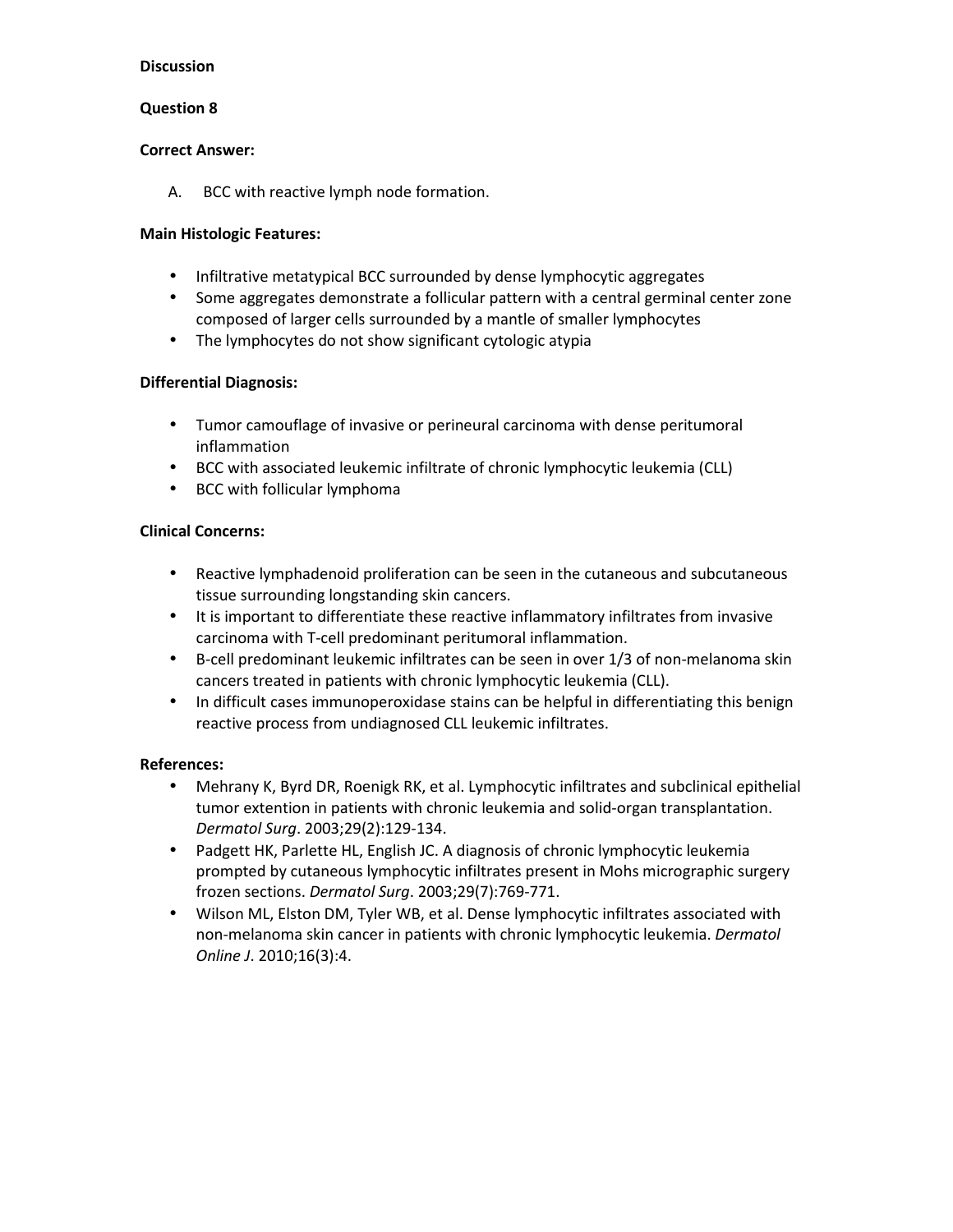### **Question 8**

#### **Correct Answer:**

A. BCC with reactive lymph node formation.

### **Main Histologic Features:**

- Infiltrative metatypical BCC surrounded by dense lymphocytic aggregates
- Some aggregates demonstrate a follicular pattern with a central germinal center zone composed of larger cells surrounded by a mantle of smaller lymphocytes
- The lymphocytes do not show significant cytologic atypia

## **Differential Diagnosis:**

- Tumor camouflage of invasive or perineural carcinoma with dense peritumoral inflammation
- BCC with associated leukemic infiltrate of chronic lymphocytic leukemia (CLL)
- BCC with follicular lymphoma

## **Clinical Concerns:**

- Reactive lymphadenoid proliferation can be seen in the cutaneous and subcutaneous tissue surrounding longstanding skin cancers.
- It is important to differentiate these reactive inflammatory infiltrates from invasive carcinoma with T-cell predominant peritumoral inflammation.
- B-cell predominant leukemic infiltrates can be seen in over 1/3 of non-melanoma skin cancers treated in patients with chronic lymphocytic leukemia (CLL).
- In difficult cases immunoperoxidase stains can be helpful in differentiating this benign reactive process from undiagnosed CLL leukemic infiltrates.

- Mehrany K, Byrd DR, Roenigk RK, et al. Lymphocytic infiltrates and subclinical epithelial tumor extention in patients with chronic leukemia and solid-organ transplantation. *Dermatol Surg*. 2003;29(2):129-134.
- Padgett HK, Parlette HL, English JC. A diagnosis of chronic lymphocytic leukemia prompted by cutaneous lymphocytic infiltrates present in Mohs micrographic surgery frozen sections. *Dermatol Surg*. 2003;29(7):769-771.
- Wilson ML, Elston DM, Tyler WB, et al. Dense lymphocytic infiltrates associated with non-melanoma skin cancer in patients with chronic lymphocytic leukemia. *Dermatol Online J*. 2010;16(3):4.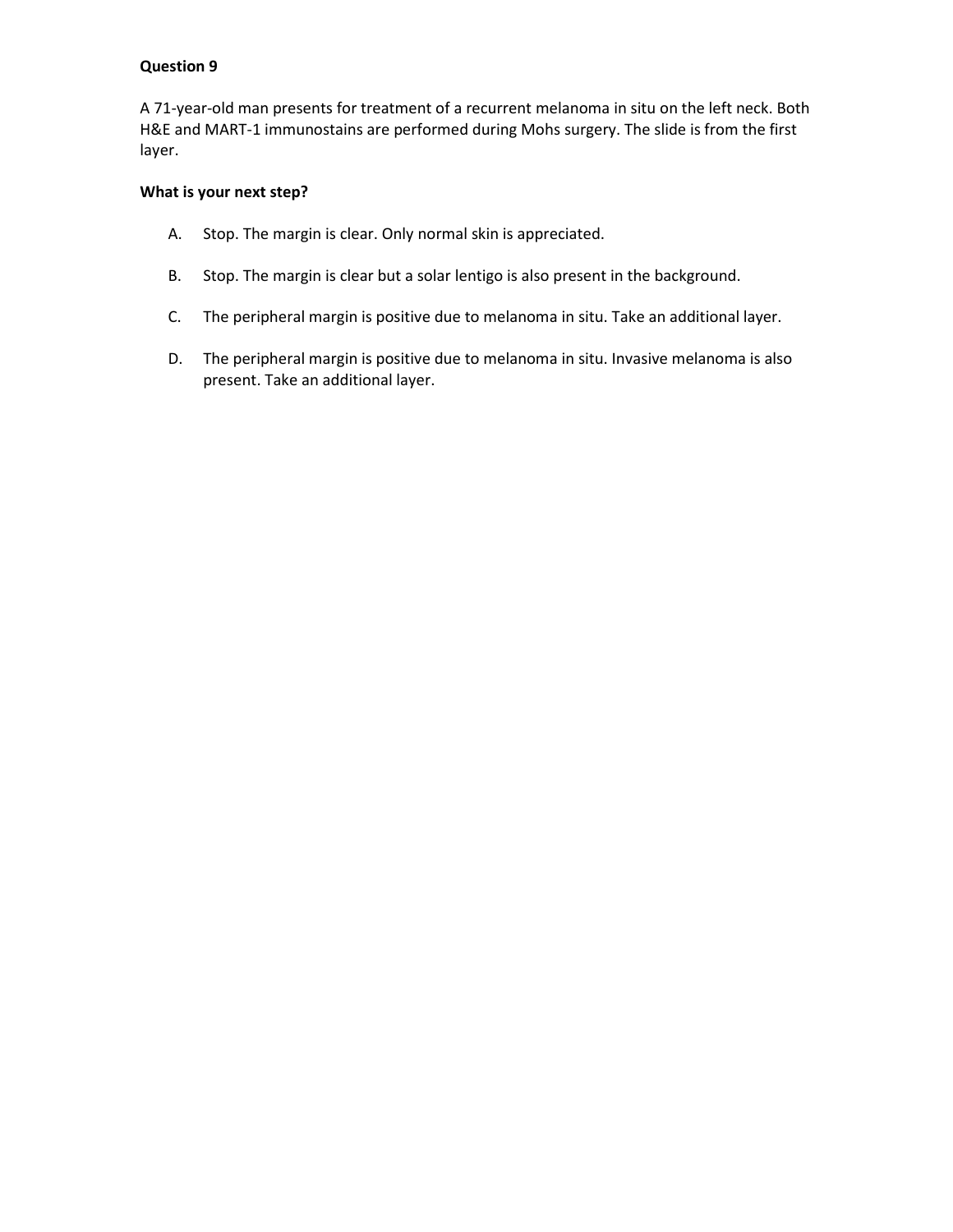A 71-year-old man presents for treatment of a recurrent melanoma in situ on the left neck. Both H&E and MART-1 immunostains are performed during Mohs surgery. The slide is from the first layer.

## **What is your next step?**

- A. Stop. The margin is clear. Only normal skin is appreciated.
- B. Stop. The margin is clear but a solar lentigo is also present in the background.
- C. The peripheral margin is positive due to melanoma in situ. Take an additional layer.
- D. The peripheral margin is positive due to melanoma in situ. Invasive melanoma is also present. Take an additional layer.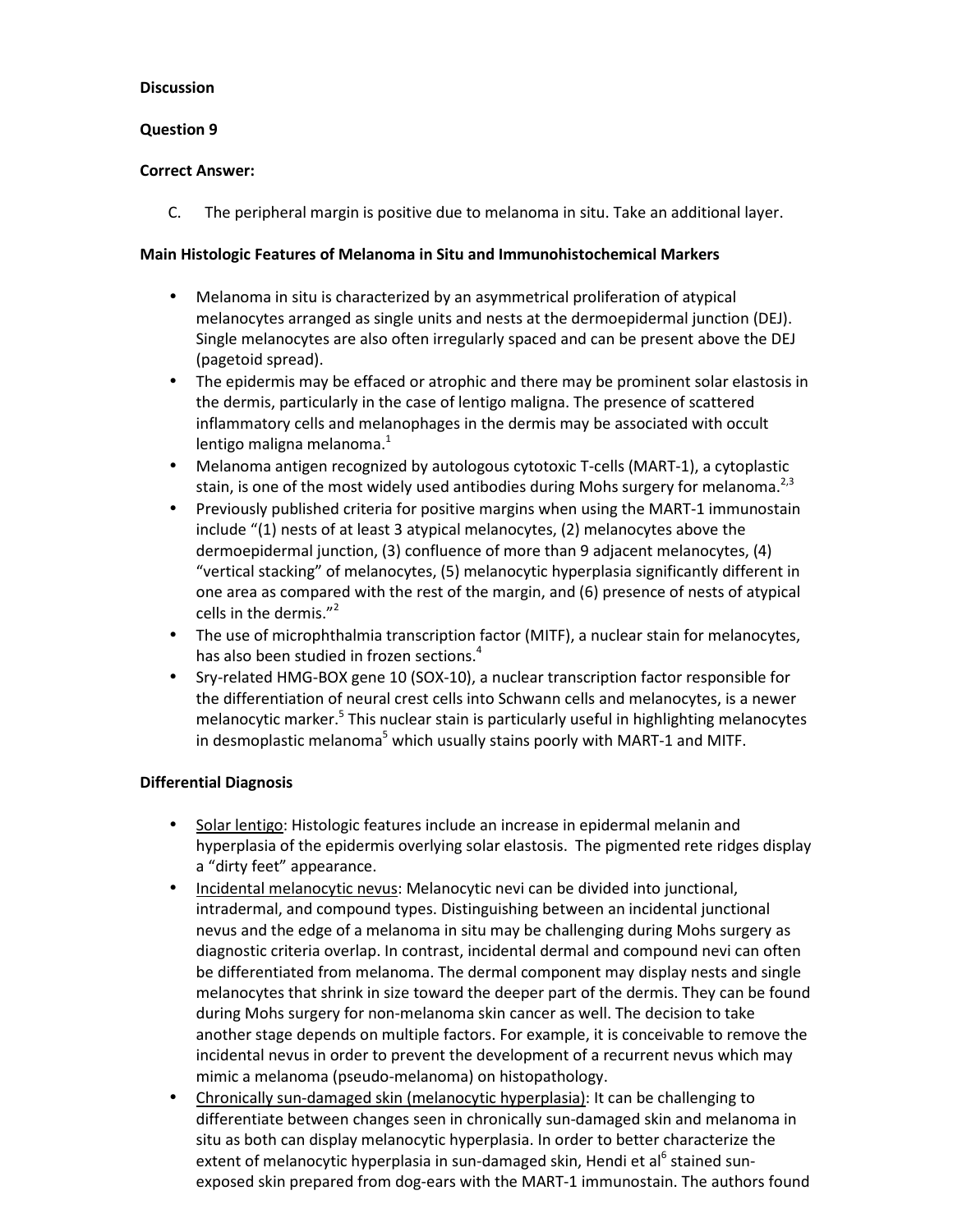### **Question 9**

### **Correct Answer:**

C. The peripheral margin is positive due to melanoma in situ. Take an additional layer.

### **Main Histologic Features of Melanoma in Situ and Immunohistochemical Markers**

- Melanoma in situ is characterized by an asymmetrical proliferation of atypical melanocytes arranged as single units and nests at the dermoepidermal junction (DEJ). Single melanocytes are also often irregularly spaced and can be present above the DEJ (pagetoid spread).
- The epidermis may be effaced or atrophic and there may be prominent solar elastosis in the dermis, particularly in the case of lentigo maligna. The presence of scattered inflammatory cells and melanophages in the dermis may be associated with occult lentigo maligna melanoma.<sup>1</sup>
- Melanoma antigen recognized by autologous cytotoxic T-cells (MART-1), a cytoplastic stain, is one of the most widely used antibodies during Mohs surgery for melanoma.<sup>2,3</sup>
- Previously published criteria for positive margins when using the MART-1 immunostain include "(1) nests of at least 3 atypical melanocytes, (2) melanocytes above the dermoepidermal junction, (3) confluence of more than 9 adjacent melanocytes, (4) "vertical stacking" of melanocytes, (5) melanocytic hyperplasia significantly different in one area as compared with the rest of the margin, and (6) presence of nests of atypical cells in the dermis. $^{\prime\prime}$ <sup>2</sup>
- The use of microphthalmia transcription factor (MITF), a nuclear stain for melanocytes, has also been studied in frozen sections.<sup>4</sup>
- Sry-related HMG-BOX gene 10 (SOX-10), a nuclear transcription factor responsible for the differentiation of neural crest cells into Schwann cells and melanocytes, is a newer melanocytic marker.<sup>5</sup> This nuclear stain is particularly useful in highlighting melanocytes in desmoplastic melanoma<sup>5</sup> which usually stains poorly with MART-1 and MITF.

#### **Differential Diagnosis**

- Solar lentigo: Histologic features include an increase in epidermal melanin and hyperplasia of the epidermis overlying solar elastosis. The pigmented rete ridges display a "dirty feet" appearance.
- Incidental melanocytic nevus: Melanocytic nevi can be divided into junctional, intradermal, and compound types. Distinguishing between an incidental junctional nevus and the edge of a melanoma in situ may be challenging during Mohs surgery as diagnostic criteria overlap. In contrast, incidental dermal and compound nevi can often be differentiated from melanoma. The dermal component may display nests and single melanocytes that shrink in size toward the deeper part of the dermis. They can be found during Mohs surgery for non-melanoma skin cancer as well. The decision to take another stage depends on multiple factors. For example, it is conceivable to remove the incidental nevus in order to prevent the development of a recurrent nevus which may mimic a melanoma (pseudo-melanoma) on histopathology.
- Chronically sun-damaged skin (melanocytic hyperplasia): It can be challenging to differentiate between changes seen in chronically sun-damaged skin and melanoma in situ as both can display melanocytic hyperplasia. In order to better characterize the extent of melanocytic hyperplasia in sun-damaged skin, Hendi et al<sup>6</sup> stained sunexposed skin prepared from dog-ears with the MART-1 immunostain. The authors found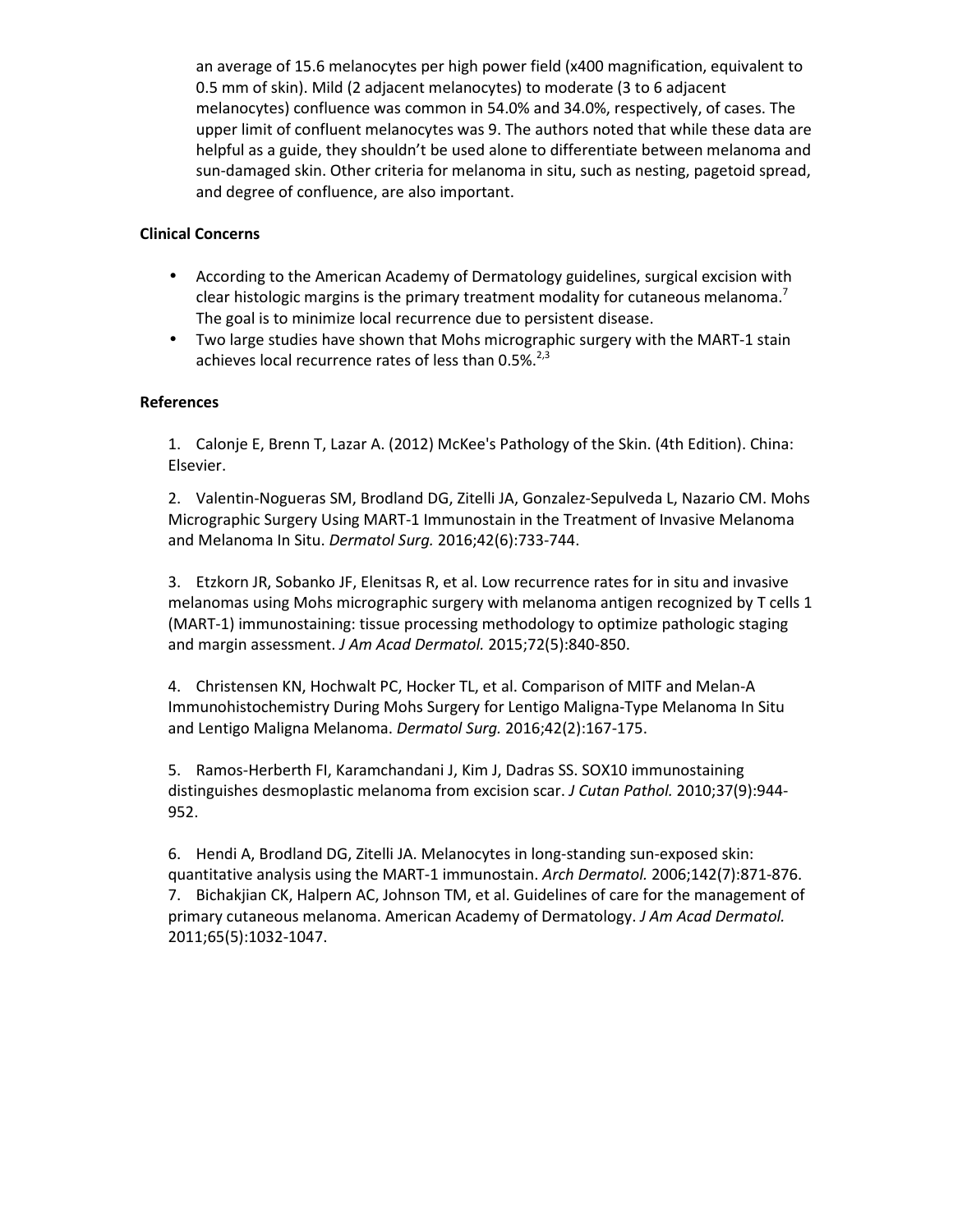an average of 15.6 melanocytes per high power field (x400 magnification, equivalent to 0.5 mm of skin). Mild (2 adjacent melanocytes) to moderate (3 to 6 adjacent melanocytes) confluence was common in 54.0% and 34.0%, respectively, of cases. The upper limit of confluent melanocytes was 9. The authors noted that while these data are helpful as a guide, they shouldn't be used alone to differentiate between melanoma and sun-damaged skin. Other criteria for melanoma in situ, such as nesting, pagetoid spread, and degree of confluence, are also important.

### **Clinical Concerns**

- According to the American Academy of Dermatology guidelines, surgical excision with clear histologic margins is the primary treatment modality for cutaneous melanoma.<sup>7</sup> The goal is to minimize local recurrence due to persistent disease.
- Two large studies have shown that Mohs micrographic surgery with the MART-1 stain achieves local recurrence rates of less than  $0.5\%$ .<sup>2,3</sup>

## **References**

1. Calonje E, Brenn T, Lazar A. (2012) McKee's Pathology of the Skin. (4th Edition). China: Elsevier.

2. Valentin-Nogueras SM, Brodland DG, Zitelli JA, Gonzalez-Sepulveda L, Nazario CM. Mohs Micrographic Surgery Using MART-1 Immunostain in the Treatment of Invasive Melanoma and Melanoma In Situ. *Dermatol Surg.* 2016;42(6):733-744.

3. Etzkorn JR, Sobanko JF, Elenitsas R, et al. Low recurrence rates for in situ and invasive melanomas using Mohs micrographic surgery with melanoma antigen recognized by T cells 1 (MART-1) immunostaining: tissue processing methodology to optimize pathologic staging and margin assessment. *J Am Acad Dermatol.* 2015;72(5):840-850.

4. Christensen KN, Hochwalt PC, Hocker TL, et al. Comparison of MITF and Melan-A Immunohistochemistry During Mohs Surgery for Lentigo Maligna-Type Melanoma In Situ and Lentigo Maligna Melanoma. *Dermatol Surg.* 2016;42(2):167-175.

5. Ramos-Herberth FI, Karamchandani J, Kim J, Dadras SS. SOX10 immunostaining distinguishes desmoplastic melanoma from excision scar. *J Cutan Pathol.* 2010;37(9):944- 952.

6. Hendi A, Brodland DG, Zitelli JA. Melanocytes in long-standing sun-exposed skin: quantitative analysis using the MART-1 immunostain. *Arch Dermatol.* 2006;142(7):871-876. 7. Bichakjian CK, Halpern AC, Johnson TM, et al. Guidelines of care for the management of primary cutaneous melanoma. American Academy of Dermatology. *J Am Acad Dermatol.*  2011;65(5):1032-1047.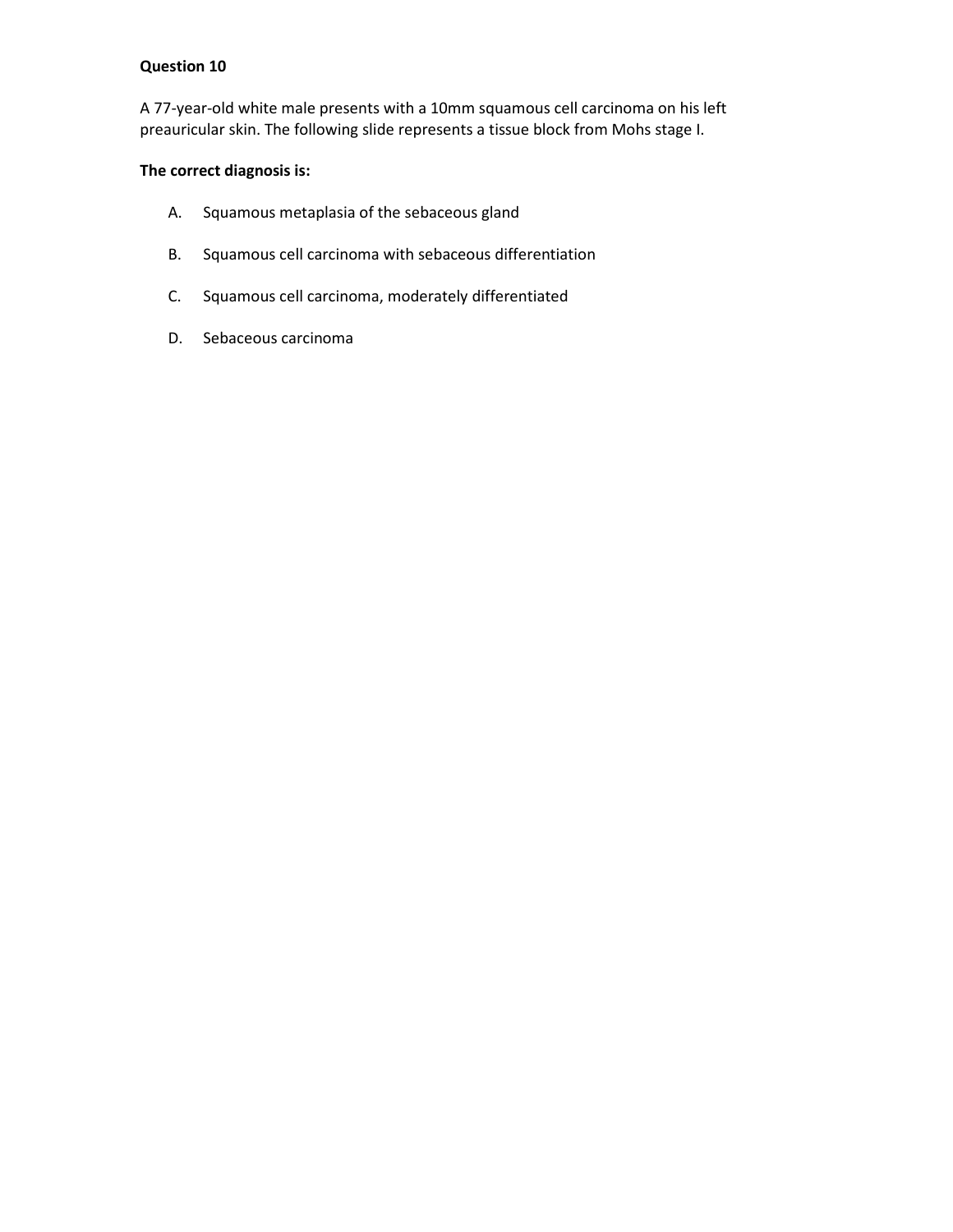A 77-year-old white male presents with a 10mm squamous cell carcinoma on his left preauricular skin. The following slide represents a tissue block from Mohs stage I.

## **The correct diagnosis is:**

- A. Squamous metaplasia of the sebaceous gland
- B. Squamous cell carcinoma with sebaceous differentiation
- C. Squamous cell carcinoma, moderately differentiated
- D. Sebaceous carcinoma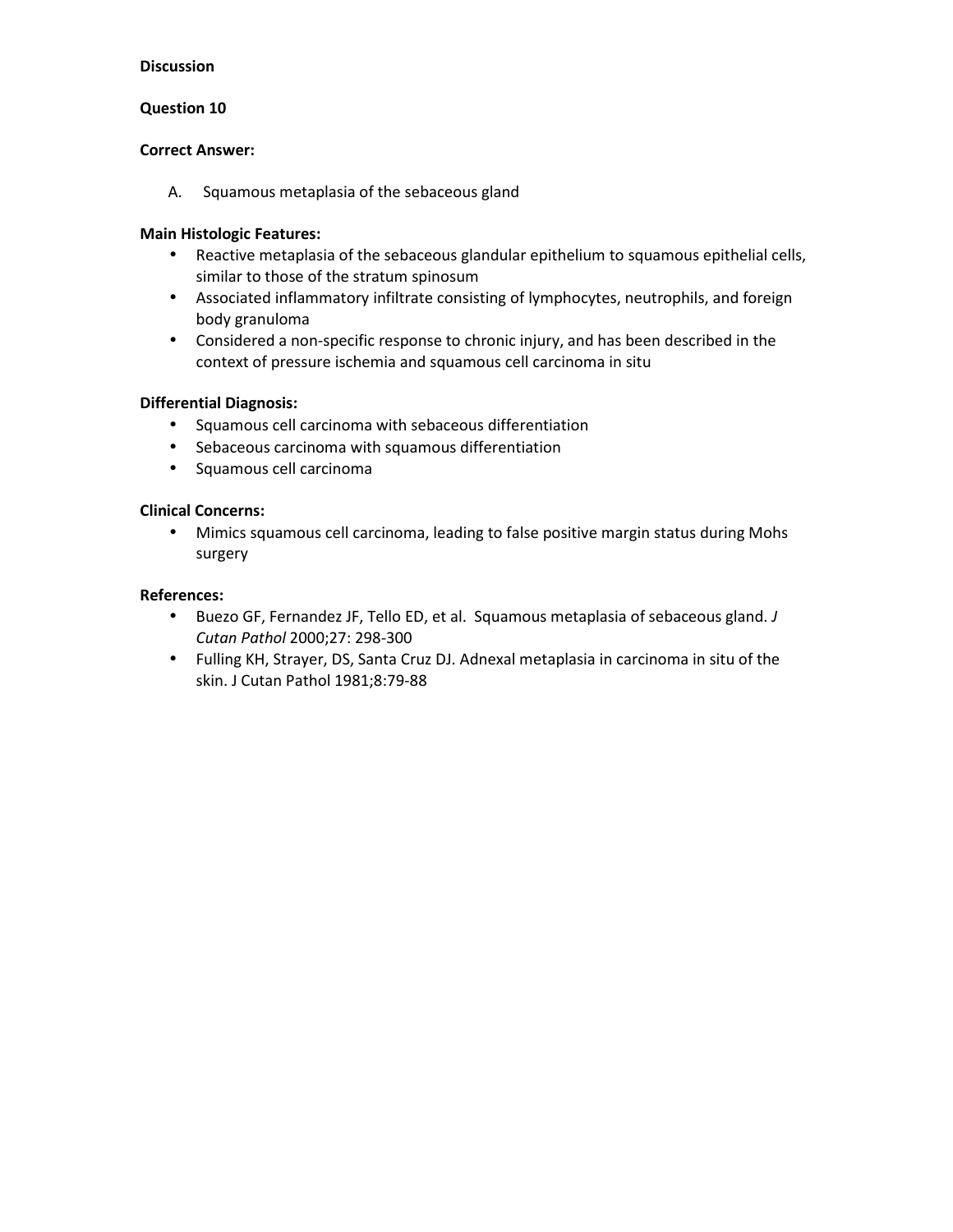### **Question 10**

#### **Correct Answer:**

A. Squamous metaplasia of the sebaceous gland

### **Main Histologic Features:**

- Reactive metaplasia of the sebaceous glandular epithelium to squamous epithelial cells, similar to those of the stratum spinosum
- Associated inflammatory infiltrate consisting of lymphocytes, neutrophils, and foreign body granuloma
- Considered a non-specific response to chronic injury, and has been described in the context of pressure ischemia and squamous cell carcinoma in situ

## **Differential Diagnosis:**

- Squamous cell carcinoma with sebaceous differentiation
- Sebaceous carcinoma with squamous differentiation
- Squamous cell carcinoma

#### **Clinical Concerns:**

• Mimics squamous cell carcinoma, leading to false positive margin status during Mohs surgery

- Buezo GF, Fernandez JF, Tello ED, et al. Squamous metaplasia of sebaceous gland. *J Cutan Pathol* 2000;27: 298-300
- Fulling KH, Strayer, DS, Santa Cruz DJ. Adnexal metaplasia in carcinoma in situ of the skin. J Cutan Pathol 1981;8:79-88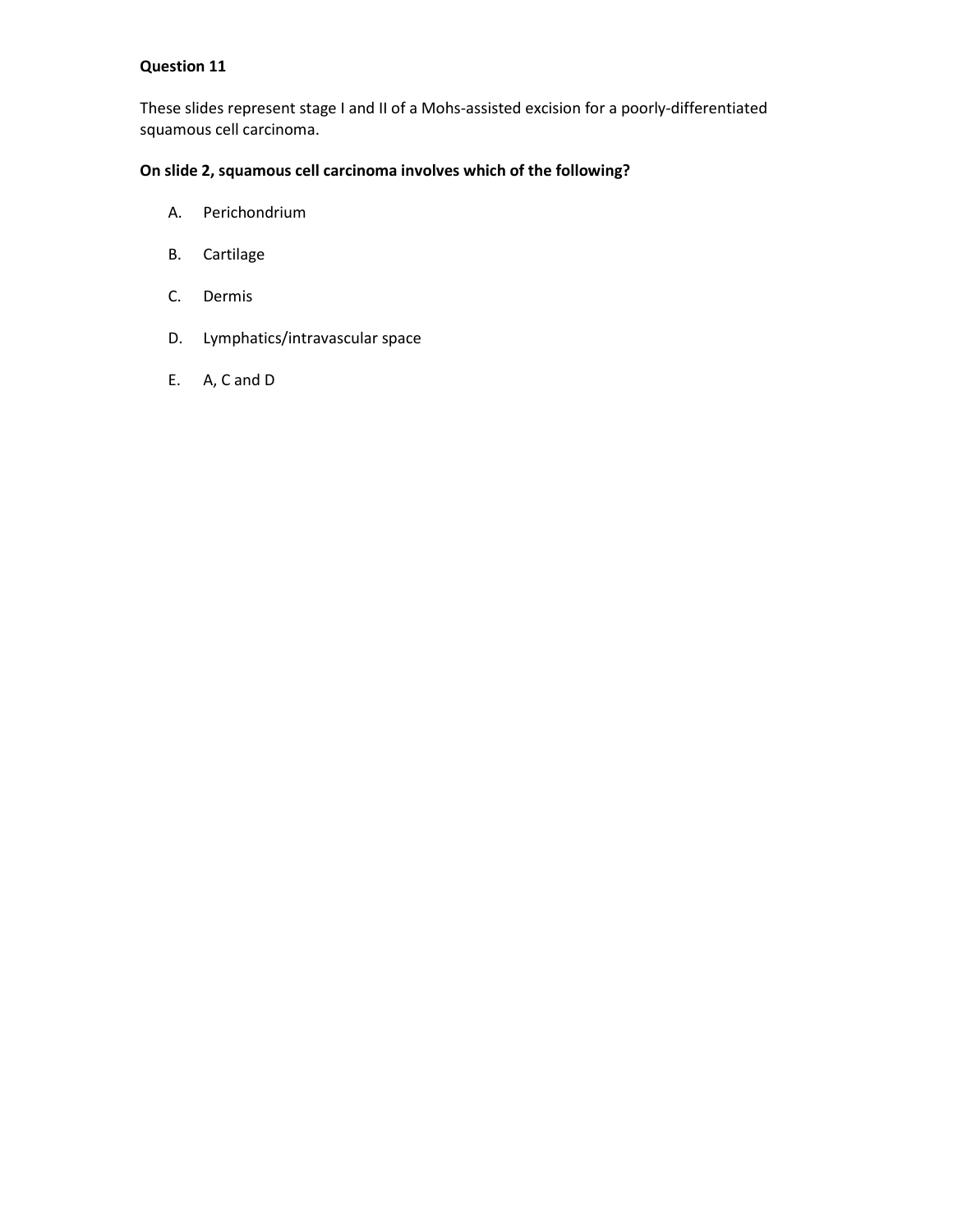These slides represent stage I and II of a Mohs-assisted excision for a poorly-differentiated squamous cell carcinoma.

## **On slide 2, squamous cell carcinoma involves which of the following?**

- A. Perichondrium
- B. Cartilage
- C. Dermis
- D. Lymphatics/intravascular space
- E. A, C and D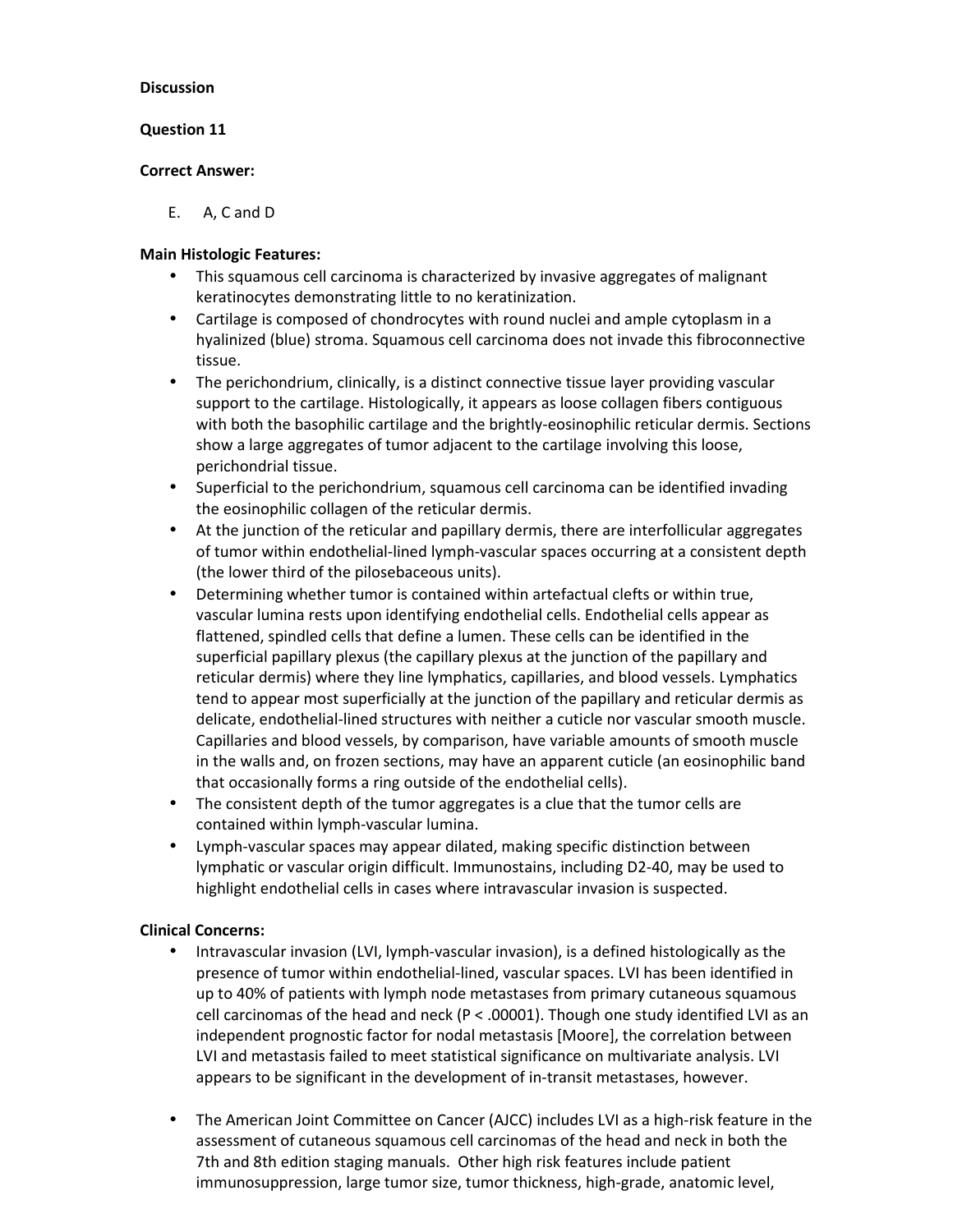### **Question 11**

### **Correct Answer:**

E. A, C and D

## **Main Histologic Features:**

- This squamous cell carcinoma is characterized by invasive aggregates of malignant keratinocytes demonstrating little to no keratinization.
- Cartilage is composed of chondrocytes with round nuclei and ample cytoplasm in a hyalinized (blue) stroma. Squamous cell carcinoma does not invade this fibroconnective tissue.
- The perichondrium, clinically, is a distinct connective tissue layer providing vascular support to the cartilage. Histologically, it appears as loose collagen fibers contiguous with both the basophilic cartilage and the brightly-eosinophilic reticular dermis. Sections show a large aggregates of tumor adjacent to the cartilage involving this loose, perichondrial tissue.
- Superficial to the perichondrium, squamous cell carcinoma can be identified invading the eosinophilic collagen of the reticular dermis.
- At the junction of the reticular and papillary dermis, there are interfollicular aggregates of tumor within endothelial-lined lymph-vascular spaces occurring at a consistent depth (the lower third of the pilosebaceous units).
- Determining whether tumor is contained within artefactual clefts or within true, vascular lumina rests upon identifying endothelial cells. Endothelial cells appear as flattened, spindled cells that define a lumen. These cells can be identified in the superficial papillary plexus (the capillary plexus at the junction of the papillary and reticular dermis) where they line lymphatics, capillaries, and blood vessels. Lymphatics tend to appear most superficially at the junction of the papillary and reticular dermis as delicate, endothelial-lined structures with neither a cuticle nor vascular smooth muscle. Capillaries and blood vessels, by comparison, have variable amounts of smooth muscle in the walls and, on frozen sections, may have an apparent cuticle (an eosinophilic band that occasionally forms a ring outside of the endothelial cells).
- The consistent depth of the tumor aggregates is a clue that the tumor cells are contained within lymph-vascular lumina.
- Lymph-vascular spaces may appear dilated, making specific distinction between lymphatic or vascular origin difficult. Immunostains, including D2-40, may be used to highlight endothelial cells in cases where intravascular invasion is suspected.

#### **Clinical Concerns:**

- Intravascular invasion (LVI, lymph-vascular invasion), is a defined histologically as the presence of tumor within endothelial-lined, vascular spaces. LVI has been identified in up to 40% of patients with lymph node metastases from primary cutaneous squamous cell carcinomas of the head and neck ( $P < .00001$ ). Though one study identified LVI as an independent prognostic factor for nodal metastasis [Moore], the correlation between LVI and metastasis failed to meet statistical significance on multivariate analysis. LVI appears to be significant in the development of in-transit metastases, however.
- The American Joint Committee on Cancer (AJCC) includes LVI as a high-risk feature in the assessment of cutaneous squamous cell carcinomas of the head and neck in both the 7th and 8th edition staging manuals. Other high risk features include patient immunosuppression, large tumor size, tumor thickness, high-grade, anatomic level,